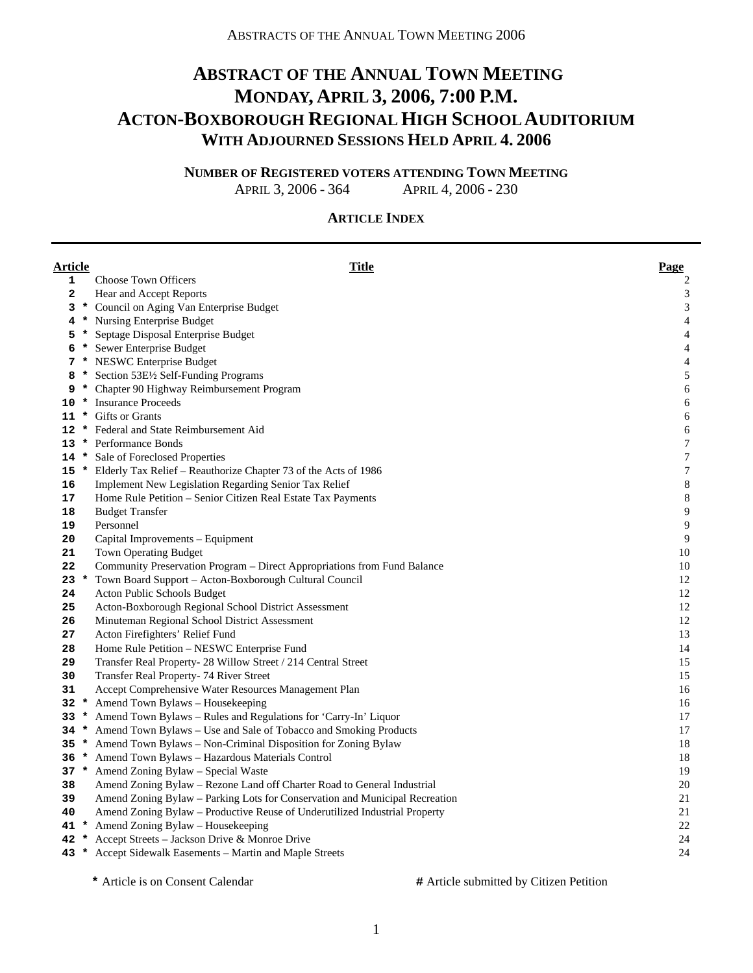# **ABSTRACT OF THE ANNUAL TOWN MEETING MONDAY, APRIL 3, 2006, 7:00 P.M. ACTON-BOXBOROUGH REGIONAL HIGH SCHOOL AUDITORIUM WITH ADJOURNED SESSIONS HELD APRIL 4. 2006**

**NUMBER OF REGISTERED VOTERS ATTENDING TOWN MEETING**

APRIL 3, 2006 - 364 APRIL 4, 2006 - 230

#### **ARTICLE INDEX**

| <b>Article</b> |         | <b>Title</b>                                                                | Page                     |
|----------------|---------|-----------------------------------------------------------------------------|--------------------------|
| 1              |         | <b>Choose Town Officers</b>                                                 | $\overline{c}$           |
| $\mathbf{2}$   |         | Hear and Accept Reports                                                     | 3                        |
| 3              |         | * Council on Aging Van Enterprise Budget                                    | $\sqrt{3}$               |
| 4              |         | * Nursing Enterprise Budget                                                 | $\overline{4}$           |
| 5              |         | * Septage Disposal Enterprise Budget                                        | $\overline{\mathcal{A}}$ |
| 6              |         | * Sewer Enterprise Budget                                                   | $\overline{4}$           |
| 7              |         | * NESWC Enterprise Budget                                                   | $\overline{\mathcal{A}}$ |
| 8              |         | * Section 53E1/2 Self-Funding Programs                                      | 5                        |
| 9              |         | * Chapter 90 Highway Reimbursement Program                                  | 6                        |
| 10             |         | * Insurance Proceeds                                                        | 6                        |
|                |         | 11 * Gifts or Grants                                                        | 6                        |
| 12             |         | * Federal and State Reimbursement Aid                                       | 6                        |
| 13             |         | * Performance Bonds                                                         | $\boldsymbol{7}$         |
| 14             |         | * Sale of Foreclosed Properties                                             | $\boldsymbol{7}$         |
| 15             |         | * Elderly Tax Relief - Reauthorize Chapter 73 of the Acts of 1986           | $\boldsymbol{7}$         |
| 16             |         | Implement New Legislation Regarding Senior Tax Relief                       | $\,$ 8 $\,$              |
| 17             |         | Home Rule Petition - Senior Citizen Real Estate Tax Payments                | $\,$ 8 $\,$              |
| 18             |         | <b>Budget Transfer</b>                                                      | $\overline{9}$           |
| 19             |         | Personnel                                                                   | $\overline{9}$           |
| 20             |         | Capital Improvements - Equipment                                            | $\overline{9}$           |
| 21             |         | Town Operating Budget                                                       | 10                       |
| 22             |         | Community Preservation Program – Direct Appropriations from Fund Balance    | 10                       |
| $23 *$         |         | Town Board Support – Acton-Boxborough Cultural Council                      | 12                       |
| 24             |         | Acton Public Schools Budget                                                 | 12                       |
| 25             |         | Acton-Boxborough Regional School District Assessment                        | 12                       |
| 26             |         | Minuteman Regional School District Assessment                               | 12                       |
| 27             |         | Acton Firefighters' Relief Fund                                             | 13                       |
| 28             |         | Home Rule Petition – NESWC Enterprise Fund                                  | 14                       |
| 29             |         | Transfer Real Property- 28 Willow Street / 214 Central Street               | 15                       |
| 30             |         | Transfer Real Property- 74 River Street                                     | 15                       |
| 31             |         | Accept Comprehensive Water Resources Management Plan                        | 16                       |
| 32             | $\star$ | Amend Town Bylaws - Housekeeping                                            | 16                       |
| 33             |         | * Amend Town Bylaws - Rules and Regulations for 'Carry-In' Liquor           | 17                       |
| 34             |         | * Amend Town Bylaws - Use and Sale of Tobacco and Smoking Products          | 17                       |
| 35             |         | * Amend Town Bylaws - Non-Criminal Disposition for Zoning Bylaw             | 18                       |
| 36             |         | * Amend Town Bylaws - Hazardous Materials Control                           | 18                       |
|                |         | 37 * Amend Zoning Bylaw - Special Waste                                     | 19                       |
| 38             |         | Amend Zoning Bylaw - Rezone Land off Charter Road to General Industrial     | $20\,$                   |
| 39             |         | Amend Zoning Bylaw - Parking Lots for Conservation and Municipal Recreation | 21                       |
| 40             |         | Amend Zoning Bylaw - Productive Reuse of Underutilized Industrial Property  | 21                       |
|                |         | 41 * Amend Zoning Bylaw - Housekeeping                                      | $22\,$                   |
|                |         | 42 * Accept Streets - Jackson Drive & Monroe Drive                          | 24                       |
|                |         | 43 * Accept Sidewalk Easements – Martin and Maple Streets                   | 24                       |

 **\*** Article is on Consent Calendar **#** Article submitted by Citizen Petition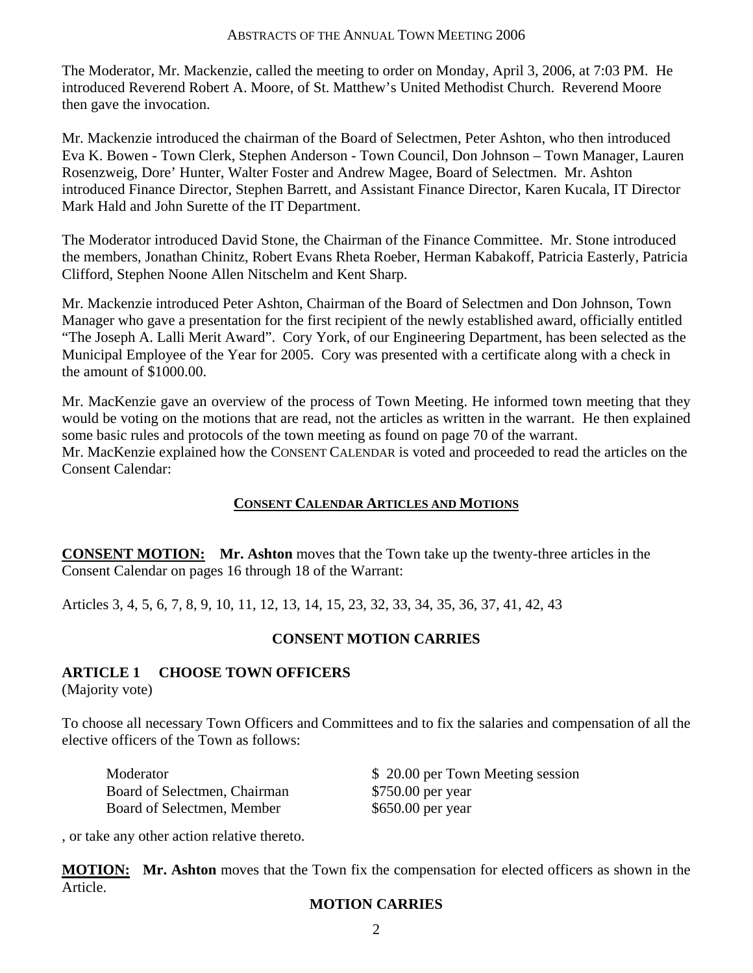The Moderator, Mr. Mackenzie, called the meeting to order on Monday, April 3, 2006, at 7:03 PM. He introduced Reverend Robert A. Moore, of St. Matthew's United Methodist Church. Reverend Moore then gave the invocation.

Mr. Mackenzie introduced the chairman of the Board of Selectmen, Peter Ashton, who then introduced Eva K. Bowen - Town Clerk, Stephen Anderson - Town Council, Don Johnson – Town Manager, Lauren Rosenzweig, Dore' Hunter, Walter Foster and Andrew Magee, Board of Selectmen. Mr. Ashton introduced Finance Director, Stephen Barrett, and Assistant Finance Director, Karen Kucala, IT Director Mark Hald and John Surette of the IT Department.

The Moderator introduced David Stone, the Chairman of the Finance Committee. Mr. Stone introduced the members, Jonathan Chinitz, Robert Evans Rheta Roeber, Herman Kabakoff, Patricia Easterly, Patricia Clifford, Stephen Noone Allen Nitschelm and Kent Sharp.

Mr. Mackenzie introduced Peter Ashton, Chairman of the Board of Selectmen and Don Johnson, Town Manager who gave a presentation for the first recipient of the newly established award, officially entitled "The Joseph A. Lalli Merit Award". Cory York, of our Engineering Department, has been selected as the Municipal Employee of the Year for 2005. Cory was presented with a certificate along with a check in the amount of \$1000.00.

Mr. MacKenzie gave an overview of the process of Town Meeting. He informed town meeting that they would be voting on the motions that are read, not the articles as written in the warrant. He then explained some basic rules and protocols of the town meeting as found on page 70 of the warrant. Mr. MacKenzie explained how the CONSENT CALENDAR is voted and proceeded to read the articles on the Consent Calendar:

#### **CONSENT CALENDAR ARTICLES AND MOTIONS**

**CONSENT MOTION: Mr. Ashton** moves that the Town take up the twenty-three articles in the Consent Calendar on pages 16 through 18 of the Warrant:

Articles 3, 4, 5, 6, 7, 8, 9, 10, 11, 12, 13, 14, 15, 23, 32, 33, 34, 35, 36, 37, 41, 42, 43

#### **CONSENT MOTION CARRIES**

#### **ARTICLE 1 CHOOSE TOWN OFFICERS**

(Majority vote)

To choose all necessary Town Officers and Committees and to fix the salaries and compensation of all the elective officers of the Town as follows:

Board of Selectmen, Chairman \$750.00 per year Board of Selectmen, Member \$650.00 per year

Moderator  $$ 20.00$  per Town Meeting session

, or take any other action relative thereto.

**MOTION: Mr. Ashton** moves that the Town fix the compensation for elected officers as shown in the Article.

#### **MOTION CARRIES**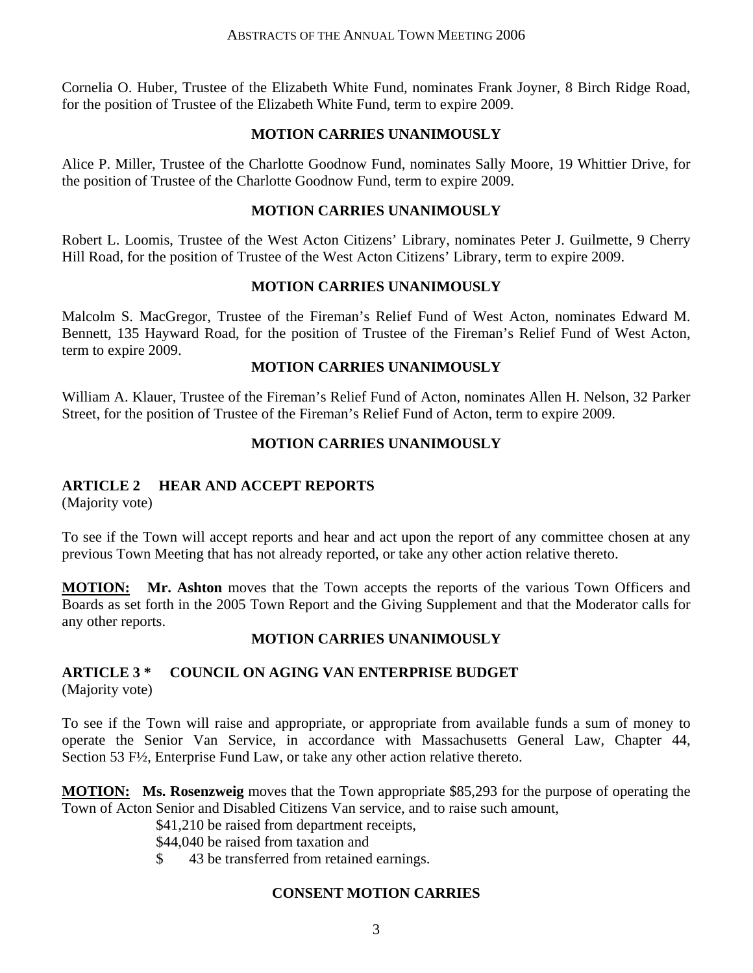Cornelia O. Huber, Trustee of the Elizabeth White Fund, nominates Frank Joyner, 8 Birch Ridge Road, for the position of Trustee of the Elizabeth White Fund, term to expire 2009.

#### **MOTION CARRIES UNANIMOUSLY**

Alice P. Miller, Trustee of the Charlotte Goodnow Fund, nominates Sally Moore, 19 Whittier Drive, for the position of Trustee of the Charlotte Goodnow Fund, term to expire 2009.

#### **MOTION CARRIES UNANIMOUSLY**

Robert L. Loomis, Trustee of the West Acton Citizens' Library, nominates Peter J. Guilmette, 9 Cherry Hill Road, for the position of Trustee of the West Acton Citizens' Library, term to expire 2009.

#### **MOTION CARRIES UNANIMOUSLY**

Malcolm S. MacGregor, Trustee of the Fireman's Relief Fund of West Acton, nominates Edward M. Bennett, 135 Hayward Road, for the position of Trustee of the Fireman's Relief Fund of West Acton, term to expire 2009.

#### **MOTION CARRIES UNANIMOUSLY**

William A. Klauer, Trustee of the Fireman's Relief Fund of Acton, nominates Allen H. Nelson, 32 Parker Street, for the position of Trustee of the Fireman's Relief Fund of Acton, term to expire 2009.

#### **MOTION CARRIES UNANIMOUSLY**

#### **ARTICLE 2 HEAR AND ACCEPT REPORTS**

(Majority vote)

To see if the Town will accept reports and hear and act upon the report of any committee chosen at any previous Town Meeting that has not already reported, or take any other action relative thereto.

**MOTION: Mr. Ashton** moves that the Town accepts the reports of the various Town Officers and Boards as set forth in the 2005 Town Report and the Giving Supplement and that the Moderator calls for any other reports.

#### **MOTION CARRIES UNANIMOUSLY**

# **ARTICLE 3 \* COUNCIL ON AGING VAN ENTERPRISE BUDGET**

(Majority vote)

To see if the Town will raise and appropriate, or appropriate from available funds a sum of money to operate the Senior Van Service, in accordance with Massachusetts General Law, Chapter 44, Section 53 F½, Enterprise Fund Law, or take any other action relative thereto.

**MOTION: Ms. Rosenzweig** moves that the Town appropriate \$85,293 for the purpose of operating the Town of Acton Senior and Disabled Citizens Van service, and to raise such amount,

\$41,210 be raised from department receipts,

\$44,040 be raised from taxation and

\$ 43 be transferred from retained earnings.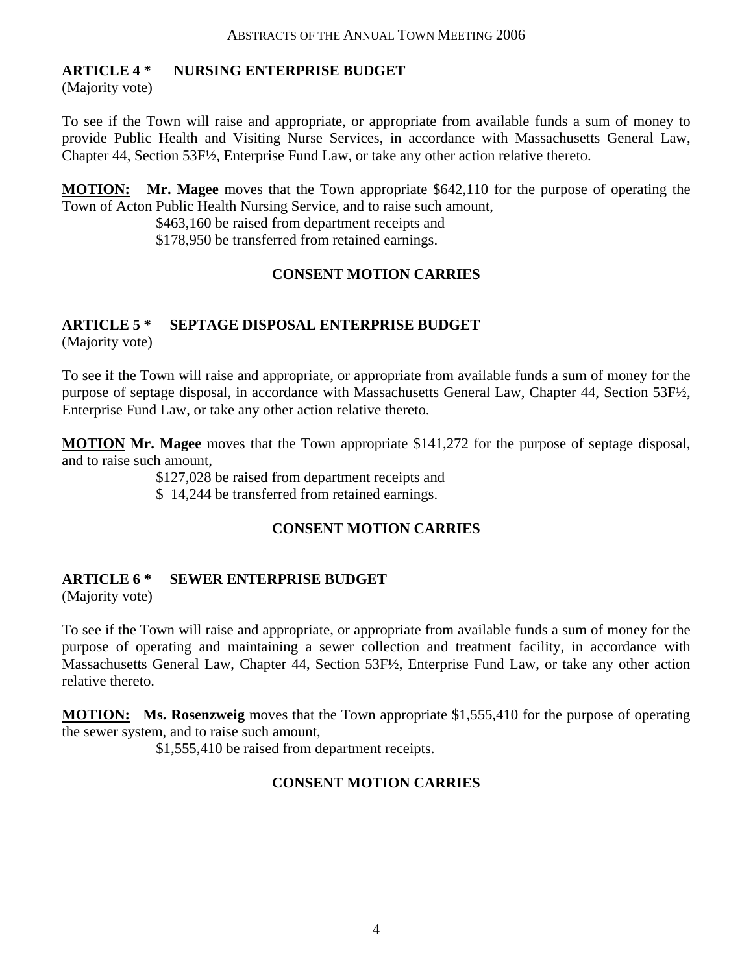#### **ARTICLE 4 \* NURSING ENTERPRISE BUDGET**

(Majority vote)

To see if the Town will raise and appropriate, or appropriate from available funds a sum of money to provide Public Health and Visiting Nurse Services, in accordance with Massachusetts General Law, Chapter 44, Section 53F½, Enterprise Fund Law, or take any other action relative thereto.

**MOTION: Mr. Magee** moves that the Town appropriate \$642,110 for the purpose of operating the Town of Acton Public Health Nursing Service, and to raise such amount,

> \$463,160 be raised from department receipts and \$178,950 be transferred from retained earnings.

## **CONSENT MOTION CARRIES**

## **ARTICLE 5 \* SEPTAGE DISPOSAL ENTERPRISE BUDGET**

(Majority vote)

To see if the Town will raise and appropriate, or appropriate from available funds a sum of money for the purpose of septage disposal, in accordance with Massachusetts General Law, Chapter 44, Section 53F½, Enterprise Fund Law, or take any other action relative thereto.

**MOTION Mr. Magee** moves that the Town appropriate \$141,272 for the purpose of septage disposal, and to raise such amount,

\$127,028 be raised from department receipts and

\$ 14,244 be transferred from retained earnings.

## **CONSENT MOTION CARRIES**

#### **ARTICLE 6 \* SEWER ENTERPRISE BUDGET**

(Majority vote)

To see if the Town will raise and appropriate, or appropriate from available funds a sum of money for the purpose of operating and maintaining a sewer collection and treatment facility, in accordance with Massachusetts General Law, Chapter 44, Section 53F½, Enterprise Fund Law, or take any other action relative thereto.

**MOTION: Ms. Rosenzweig** moves that the Town appropriate \$1,555,410 for the purpose of operating the sewer system, and to raise such amount,

\$1,555,410 be raised from department receipts.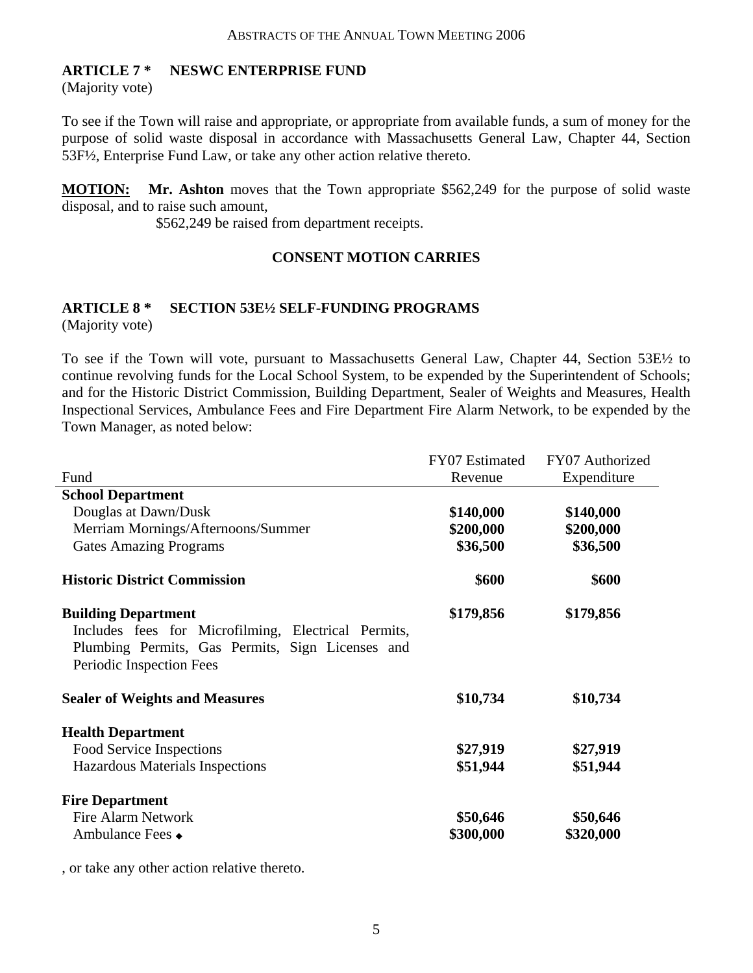#### **ARTICLE 7 \* NESWC ENTERPRISE FUND**

(Majority vote)

To see if the Town will raise and appropriate, or appropriate from available funds, a sum of money for the purpose of solid waste disposal in accordance with Massachusetts General Law, Chapter 44, Section 53F½, Enterprise Fund Law, or take any other action relative thereto.

**MOTION: Mr. Ashton** moves that the Town appropriate \$562,249 for the purpose of solid waste disposal, and to raise such amount,

\$562,249 be raised from department receipts.

#### **CONSENT MOTION CARRIES**

# **ARTICLE 8 \* SECTION 53E½ SELF-FUNDING PROGRAMS**

(Majority vote)

To see if the Town will vote, pursuant to Massachusetts General Law, Chapter 44, Section 53E½ to continue revolving funds for the Local School System, to be expended by the Superintendent of Schools; and for the Historic District Commission, Building Department, Sealer of Weights and Measures, Health Inspectional Services, Ambulance Fees and Fire Department Fire Alarm Network, to be expended by the Town Manager, as noted below:

|                                                                                                                                                                   | FY07 Estimated | FY07 Authorized |
|-------------------------------------------------------------------------------------------------------------------------------------------------------------------|----------------|-----------------|
| Fund                                                                                                                                                              | Revenue        | Expenditure     |
| <b>School Department</b>                                                                                                                                          |                |                 |
| Douglas at Dawn/Dusk                                                                                                                                              | \$140,000      | \$140,000       |
| Merriam Mornings/Afternoons/Summer                                                                                                                                | \$200,000      | \$200,000       |
| <b>Gates Amazing Programs</b>                                                                                                                                     | \$36,500       | \$36,500        |
| <b>Historic District Commission</b>                                                                                                                               | \$600          | \$600           |
| <b>Building Department</b><br>Includes fees for Microfilming, Electrical Permits,<br>Plumbing Permits, Gas Permits, Sign Licenses and<br>Periodic Inspection Fees | \$179,856      | \$179,856       |
| <b>Sealer of Weights and Measures</b>                                                                                                                             | \$10,734       | \$10,734        |
| <b>Health Department</b>                                                                                                                                          |                |                 |
| Food Service Inspections                                                                                                                                          | \$27,919       | \$27,919        |
| Hazardous Materials Inspections                                                                                                                                   | \$51,944       | \$51,944        |
| <b>Fire Department</b>                                                                                                                                            |                |                 |
| Fire Alarm Network                                                                                                                                                | \$50,646       | \$50,646        |
| Ambulance Fees •                                                                                                                                                  | \$300,000      | \$320,000       |

, or take any other action relative thereto.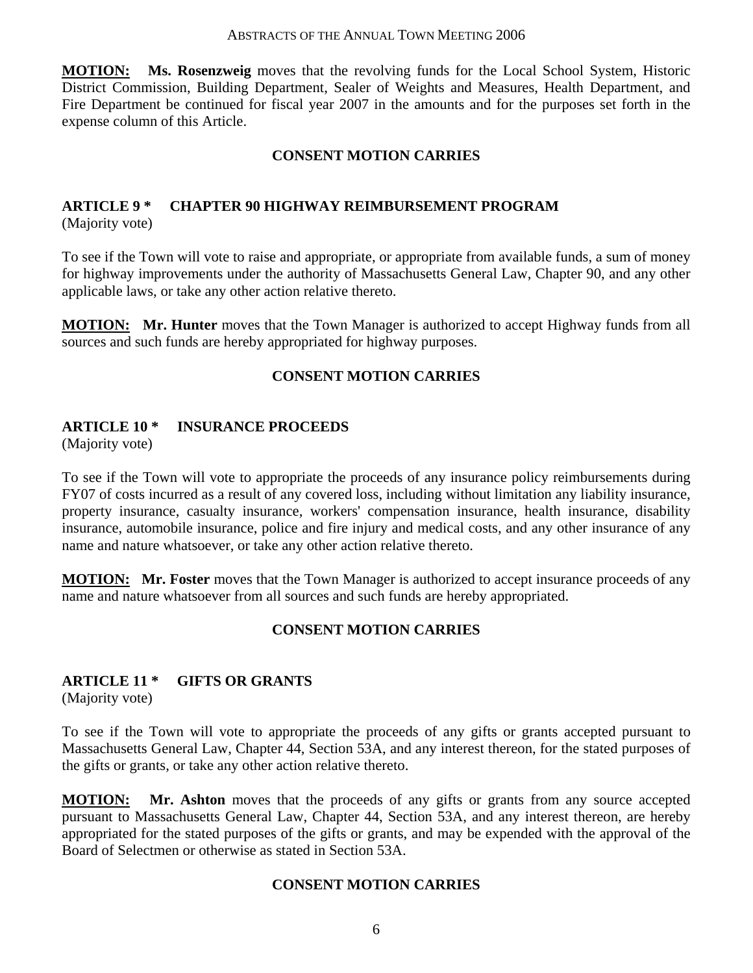**MOTION: Ms. Rosenzweig** moves that the revolving funds for the Local School System, Historic District Commission, Building Department, Sealer of Weights and Measures, Health Department, and Fire Department be continued for fiscal year 2007 in the amounts and for the purposes set forth in the expense column of this Article.

#### **CONSENT MOTION CARRIES**

# **ARTICLE 9 \* CHAPTER 90 HIGHWAY REIMBURSEMENT PROGRAM**

(Majority vote)

To see if the Town will vote to raise and appropriate, or appropriate from available funds, a sum of money for highway improvements under the authority of Massachusetts General Law, Chapter 90, and any other applicable laws, or take any other action relative thereto.

**MOTION: Mr. Hunter** moves that the Town Manager is authorized to accept Highway funds from all sources and such funds are hereby appropriated for highway purposes.

#### **CONSENT MOTION CARRIES**

#### **ARTICLE 10 \* INSURANCE PROCEEDS**

(Majority vote)

To see if the Town will vote to appropriate the proceeds of any insurance policy reimbursements during FY07 of costs incurred as a result of any covered loss, including without limitation any liability insurance, property insurance, casualty insurance, workers' compensation insurance, health insurance, disability insurance, automobile insurance, police and fire injury and medical costs, and any other insurance of any name and nature whatsoever, or take any other action relative thereto.

**MOTION: Mr. Foster** moves that the Town Manager is authorized to accept insurance proceeds of any name and nature whatsoever from all sources and such funds are hereby appropriated.

#### **CONSENT MOTION CARRIES**

#### **ARTICLE 11 \* GIFTS OR GRANTS**

(Majority vote)

To see if the Town will vote to appropriate the proceeds of any gifts or grants accepted pursuant to Massachusetts General Law, Chapter 44, Section 53A, and any interest thereon, for the stated purposes of the gifts or grants, or take any other action relative thereto.

**MOTION:** Mr. Ashton moves that the proceeds of any gifts or grants from any source accepted pursuant to Massachusetts General Law, Chapter 44, Section 53A, and any interest thereon, are hereby appropriated for the stated purposes of the gifts or grants, and may be expended with the approval of the Board of Selectmen or otherwise as stated in Section 53A.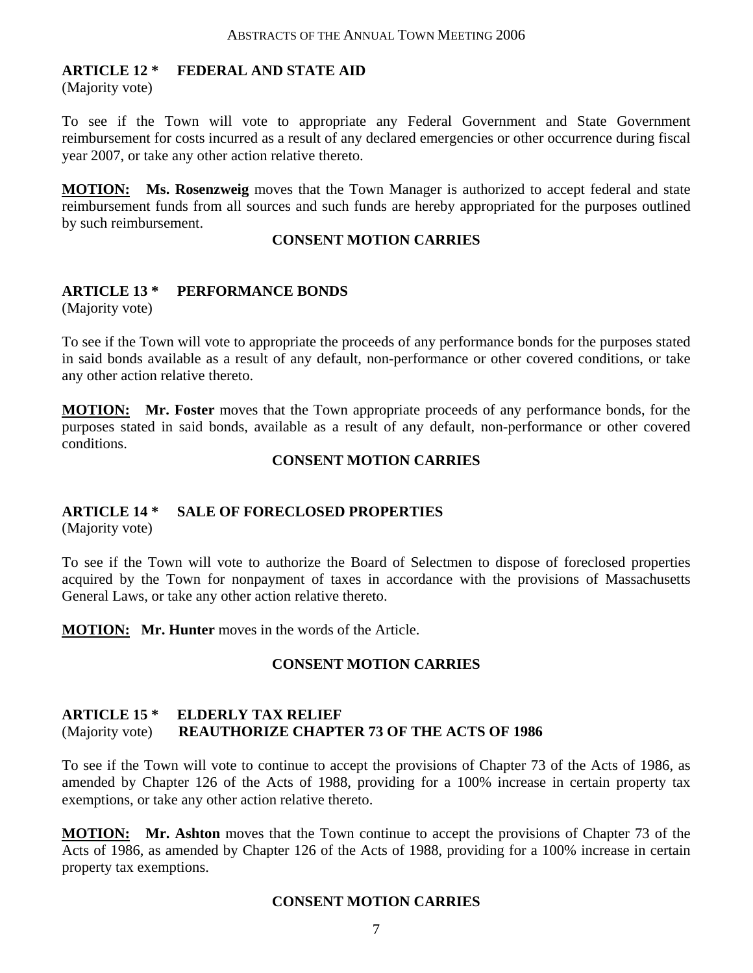#### **ARTICLE 12 \* FEDERAL AND STATE AID**

(Majority vote)

To see if the Town will vote to appropriate any Federal Government and State Government reimbursement for costs incurred as a result of any declared emergencies or other occurrence during fiscal year 2007, or take any other action relative thereto.

**MOTION: Ms. Rosenzweig** moves that the Town Manager is authorized to accept federal and state reimbursement funds from all sources and such funds are hereby appropriated for the purposes outlined by such reimbursement.

#### **CONSENT MOTION CARRIES**

#### **ARTICLE 13 \* PERFORMANCE BONDS**

(Majority vote)

To see if the Town will vote to appropriate the proceeds of any performance bonds for the purposes stated in said bonds available as a result of any default, non-performance or other covered conditions, or take any other action relative thereto.

**MOTION: Mr. Foster** moves that the Town appropriate proceeds of any performance bonds, for the purposes stated in said bonds, available as a result of any default, non-performance or other covered conditions.

#### **CONSENT MOTION CARRIES**

#### **ARTICLE 14 \* SALE OF FORECLOSED PROPERTIES**

(Majority vote)

To see if the Town will vote to authorize the Board of Selectmen to dispose of foreclosed properties acquired by the Town for nonpayment of taxes in accordance with the provisions of Massachusetts General Laws, or take any other action relative thereto.

**MOTION: Mr. Hunter** moves in the words of the Article.

#### **CONSENT MOTION CARRIES**

#### **ARTICLE 15 \* ELDERLY TAX RELIEF**  (Majority vote) **REAUTHORIZE CHAPTER 73 OF THE ACTS OF 1986**

To see if the Town will vote to continue to accept the provisions of Chapter 73 of the Acts of 1986, as amended by Chapter 126 of the Acts of 1988, providing for a 100% increase in certain property tax exemptions, or take any other action relative thereto.

**MOTION: Mr. Ashton** moves that the Town continue to accept the provisions of Chapter 73 of the Acts of 1986, as amended by Chapter 126 of the Acts of 1988, providing for a 100% increase in certain property tax exemptions.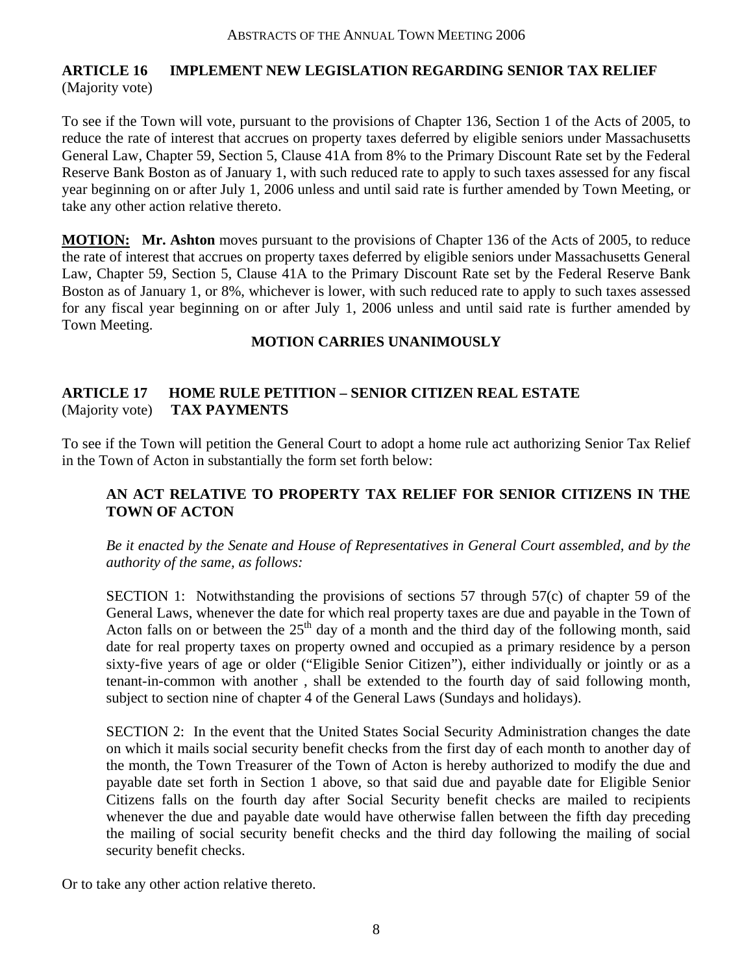## **ARTICLE 16 IMPLEMENT NEW LEGISLATION REGARDING SENIOR TAX RELIEF**  (Majority vote)

To see if the Town will vote, pursuant to the provisions of Chapter 136, Section 1 of the Acts of 2005, to reduce the rate of interest that accrues on property taxes deferred by eligible seniors under Massachusetts General Law, Chapter 59, Section 5, Clause 41A from 8% to the Primary Discount Rate set by the Federal Reserve Bank Boston as of January 1, with such reduced rate to apply to such taxes assessed for any fiscal year beginning on or after July 1, 2006 unless and until said rate is further amended by Town Meeting, or take any other action relative thereto.

**MOTION: Mr. Ashton** moves pursuant to the provisions of Chapter 136 of the Acts of 2005, to reduce the rate of interest that accrues on property taxes deferred by eligible seniors under Massachusetts General Law, Chapter 59, Section 5, Clause 41A to the Primary Discount Rate set by the Federal Reserve Bank Boston as of January 1, or 8%, whichever is lower, with such reduced rate to apply to such taxes assessed for any fiscal year beginning on or after July 1, 2006 unless and until said rate is further amended by Town Meeting.

#### **MOTION CARRIES UNANIMOUSLY**

#### **ARTICLE 17 HOME RULE PETITION – SENIOR CITIZEN REAL ESTATE**  (Majority vote) **TAX PAYMENTS**

To see if the Town will petition the General Court to adopt a home rule act authorizing Senior Tax Relief in the Town of Acton in substantially the form set forth below:

#### **AN ACT RELATIVE TO PROPERTY TAX RELIEF FOR SENIOR CITIZENS IN THE TOWN OF ACTON**

*Be it enacted by the Senate and House of Representatives in General Court assembled, and by the authority of the same, as follows:* 

SECTION 1: Notwithstanding the provisions of sections 57 through 57(c) of chapter 59 of the General Laws, whenever the date for which real property taxes are due and payable in the Town of Acton falls on or between the  $25<sup>th</sup>$  day of a month and the third day of the following month, said date for real property taxes on property owned and occupied as a primary residence by a person sixty-five years of age or older ("Eligible Senior Citizen"), either individually or jointly or as a tenant-in-common with another , shall be extended to the fourth day of said following month, subject to section nine of chapter 4 of the General Laws (Sundays and holidays).

SECTION 2: In the event that the United States Social Security Administration changes the date on which it mails social security benefit checks from the first day of each month to another day of the month, the Town Treasurer of the Town of Acton is hereby authorized to modify the due and payable date set forth in Section 1 above, so that said due and payable date for Eligible Senior Citizens falls on the fourth day after Social Security benefit checks are mailed to recipients whenever the due and payable date would have otherwise fallen between the fifth day preceding the mailing of social security benefit checks and the third day following the mailing of social security benefit checks.

Or to take any other action relative thereto.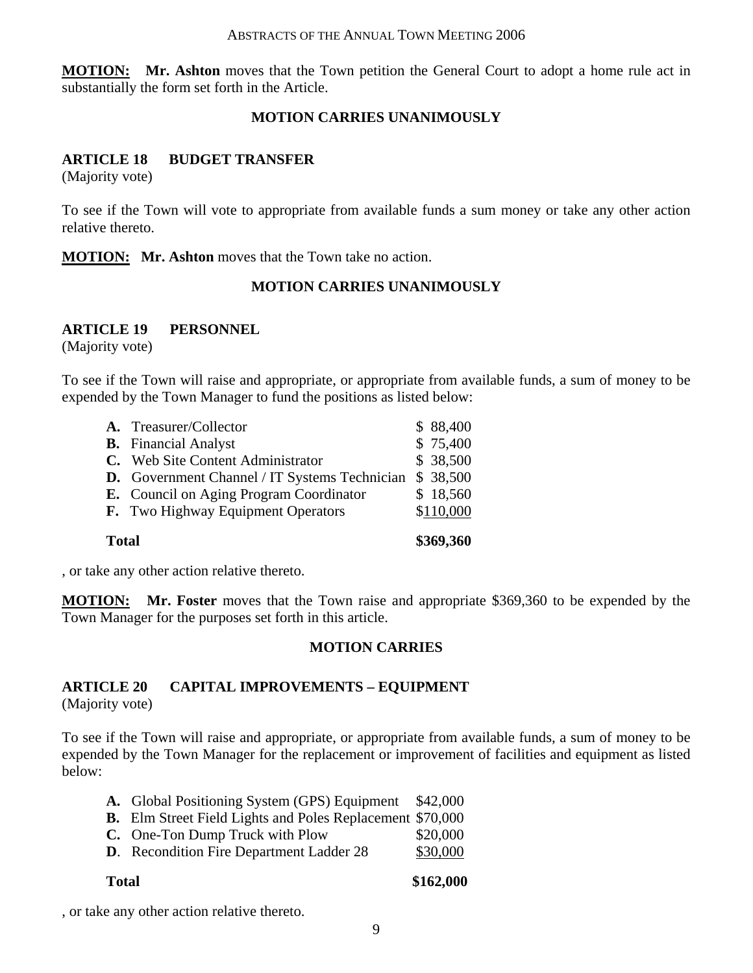**MOTION: Mr. Ashton** moves that the Town petition the General Court to adopt a home rule act in substantially the form set forth in the Article.

#### **MOTION CARRIES UNANIMOUSLY**

#### **ARTICLE 18 BUDGET TRANSFER**

(Majority vote)

To see if the Town will vote to appropriate from available funds a sum money or take any other action relative thereto.

**MOTION: Mr. Ashton** moves that the Town take no action.

#### **MOTION CARRIES UNANIMOUSLY**

#### **ARTICLE 19 PERSONNEL**

(Majority vote)

To see if the Town will raise and appropriate, or appropriate from available funds, a sum of money to be expended by the Town Manager to fund the positions as listed below:

| \$369,360<br><b>Total</b> |                                                      |  |           |
|---------------------------|------------------------------------------------------|--|-----------|
|                           | <b>F.</b> Two Highway Equipment Operators            |  | \$110,000 |
|                           | <b>E.</b> Council on Aging Program Coordinator       |  | \$18,560  |
|                           | <b>D.</b> Government Channel / IT Systems Technician |  | \$ 38,500 |
|                           | C. Web Site Content Administrator                    |  | \$38,500  |
|                           | <b>B.</b> Financial Analyst                          |  | \$75,400  |
|                           | A. Treasurer/Collector                               |  | \$88,400  |

, or take any other action relative thereto.

**MOTION: Mr. Foster** moves that the Town raise and appropriate \$369,360 to be expended by the Town Manager for the purposes set forth in this article.

#### **MOTION CARRIES**

## **ARTICLE 20 CAPITAL IMPROVEMENTS – EQUIPMENT**

(Majority vote)

To see if the Town will raise and appropriate, or appropriate from available funds, a sum of money to be expended by the Town Manager for the replacement or improvement of facilities and equipment as listed below:

| A. Global Positioning System (GPS) Equipment \$42,000            |          |
|------------------------------------------------------------------|----------|
| <b>B.</b> Elm Street Field Lights and Poles Replacement \$70,000 |          |
| C. One-Ton Dump Truck with Plow                                  | \$20,000 |
| <b>D.</b> Recondition Fire Department Ladder 28                  | \$30,000 |

**Total \$162,000** 

, or take any other action relative thereto.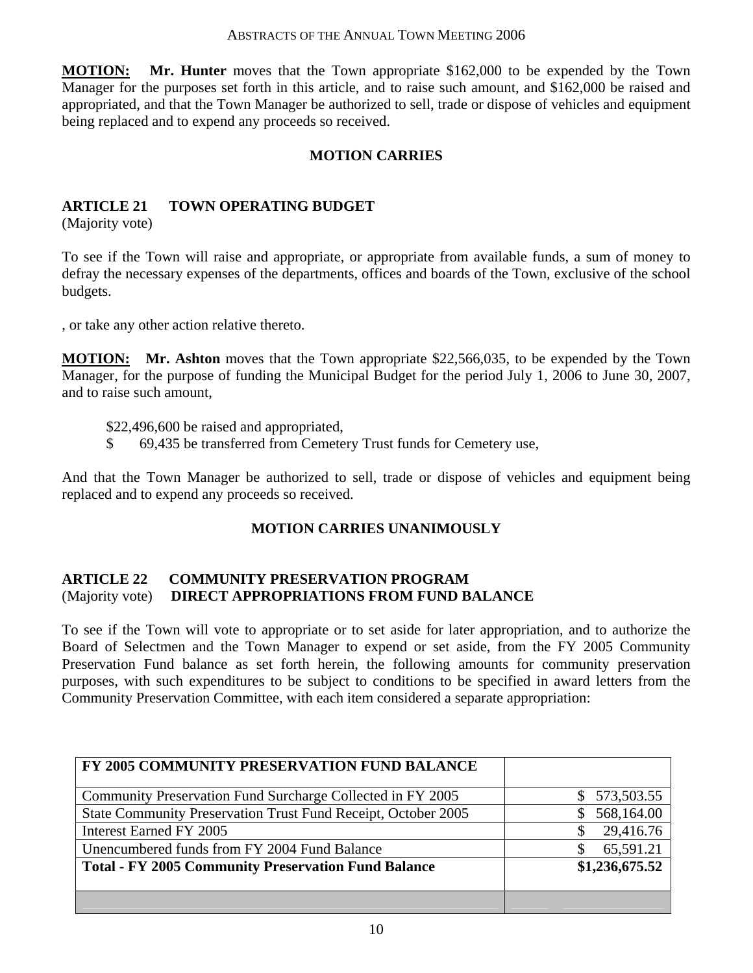**MOTION: Mr. Hunter** moves that the Town appropriate \$162,000 to be expended by the Town Manager for the purposes set forth in this article, and to raise such amount, and \$162,000 be raised and appropriated, and that the Town Manager be authorized to sell, trade or dispose of vehicles and equipment being replaced and to expend any proceeds so received.

## **MOTION CARRIES**

### **ARTICLE 21 TOWN OPERATING BUDGET**

(Majority vote)

To see if the Town will raise and appropriate, or appropriate from available funds, a sum of money to defray the necessary expenses of the departments, offices and boards of the Town, exclusive of the school budgets.

, or take any other action relative thereto.

**MOTION: Mr. Ashton** moves that the Town appropriate \$22,566,035, to be expended by the Town Manager, for the purpose of funding the Municipal Budget for the period July 1, 2006 to June 30, 2007, and to raise such amount,

\$22,496,600 be raised and appropriated,

\$ 69,435 be transferred from Cemetery Trust funds for Cemetery use,

And that the Town Manager be authorized to sell, trade or dispose of vehicles and equipment being replaced and to expend any proceeds so received.

#### **MOTION CARRIES UNANIMOUSLY**

#### **ARTICLE 22 COMMUNITY PRESERVATION PROGRAM**  (Majority vote) **DIRECT APPROPRIATIONS FROM FUND BALANCE**

To see if the Town will vote to appropriate or to set aside for later appropriation, and to authorize the Board of Selectmen and the Town Manager to expend or set aside, from the FY 2005 Community Preservation Fund balance as set forth herein, the following amounts for community preservation purposes, with such expenditures to be subject to conditions to be specified in award letters from the Community Preservation Committee, with each item considered a separate appropriation:

| FY 2005 COMMUNITY PRESERVATION FUND BALANCE                   |                  |
|---------------------------------------------------------------|------------------|
| Community Preservation Fund Surcharge Collected in FY 2005    | \$573,503.55     |
| State Community Preservation Trust Fund Receipt, October 2005 | 568,164.00<br>S. |
| Interest Earned FY 2005                                       | 29,416.76        |
| Unencumbered funds from FY 2004 Fund Balance                  | 65,591.21        |
| <b>Total - FY 2005 Community Preservation Fund Balance</b>    | \$1,236,675.52   |
|                                                               |                  |
|                                                               |                  |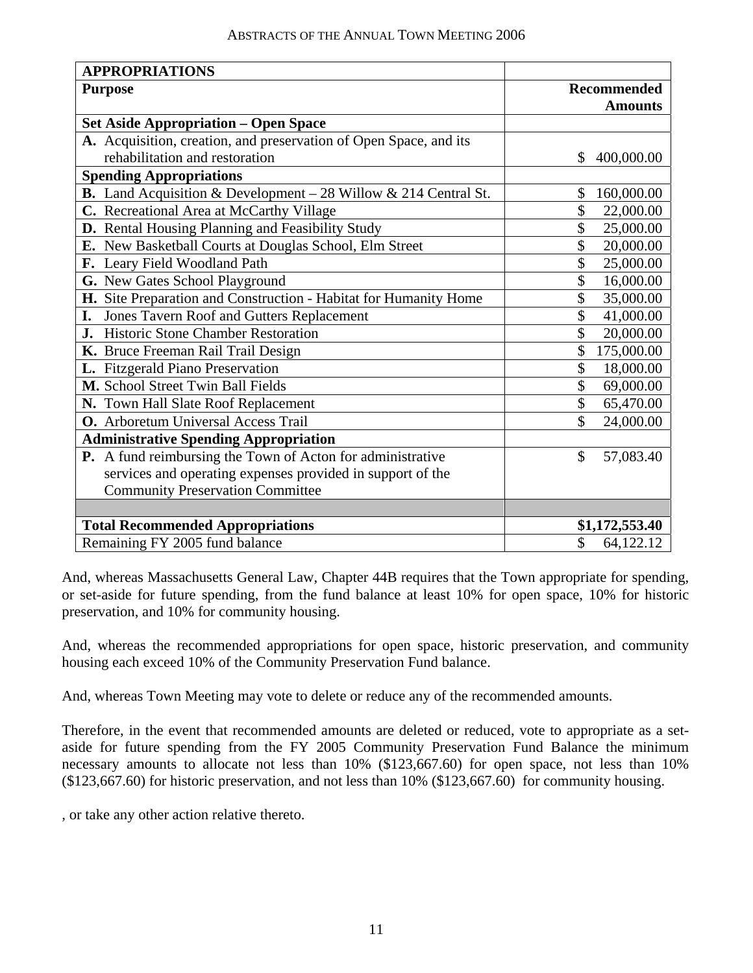| <b>APPROPRIATIONS</b>                                             |                    |  |
|-------------------------------------------------------------------|--------------------|--|
| <b>Purpose</b>                                                    | <b>Recommended</b> |  |
|                                                                   | <b>Amounts</b>     |  |
| <b>Set Aside Appropriation – Open Space</b>                       |                    |  |
| A. Acquisition, creation, and preservation of Open Space, and its |                    |  |
| rehabilitation and restoration                                    | 400,000.00<br>\$   |  |
| <b>Spending Appropriations</b>                                    |                    |  |
| B. Land Acquisition & Development - 28 Willow & 214 Central St.   | \$<br>160,000.00   |  |
| C. Recreational Area at McCarthy Village                          | \$<br>22,000.00    |  |
| D. Rental Housing Planning and Feasibility Study                  | \$<br>25,000.00    |  |
| E. New Basketball Courts at Douglas School, Elm Street            | \$<br>20,000.00    |  |
| F. Leary Field Woodland Path                                      | \$<br>25,000.00    |  |
| G. New Gates School Playground                                    | \$<br>16,000.00    |  |
| H. Site Preparation and Construction - Habitat for Humanity Home  | \$<br>35,000.00    |  |
| Jones Tavern Roof and Gutters Replacement<br>I.                   | \$<br>41,000.00    |  |
| <b>J.</b> Historic Stone Chamber Restoration                      | \$<br>20,000.00    |  |
| K. Bruce Freeman Rail Trail Design                                | \$<br>175,000.00   |  |
| L. Fitzgerald Piano Preservation                                  | \$<br>18,000.00    |  |
| M. School Street Twin Ball Fields                                 | \$<br>69,000.00    |  |
| N. Town Hall Slate Roof Replacement                               | \$<br>65,470.00    |  |
| O. Arboretum Universal Access Trail                               | \$<br>24,000.00    |  |
| <b>Administrative Spending Appropriation</b>                      |                    |  |
| P. A fund reimbursing the Town of Acton for administrative        | \$<br>57,083.40    |  |
| services and operating expenses provided in support of the        |                    |  |
| <b>Community Preservation Committee</b>                           |                    |  |
|                                                                   |                    |  |
| <b>Total Recommended Appropriations</b>                           | \$1,172,553.40     |  |
| Remaining FY 2005 fund balance                                    | \$<br>64,122.12    |  |

And, whereas Massachusetts General Law, Chapter 44B requires that the Town appropriate for spending, or set-aside for future spending, from the fund balance at least 10% for open space, 10% for historic preservation, and 10% for community housing.

And, whereas the recommended appropriations for open space, historic preservation, and community housing each exceed 10% of the Community Preservation Fund balance.

And, whereas Town Meeting may vote to delete or reduce any of the recommended amounts.

Therefore, in the event that recommended amounts are deleted or reduced, vote to appropriate as a setaside for future spending from the FY 2005 Community Preservation Fund Balance the minimum necessary amounts to allocate not less than 10% (\$123,667.60) for open space, not less than 10% (\$123,667.60) for historic preservation, and not less than 10% (\$123,667.60) for community housing.

, or take any other action relative thereto.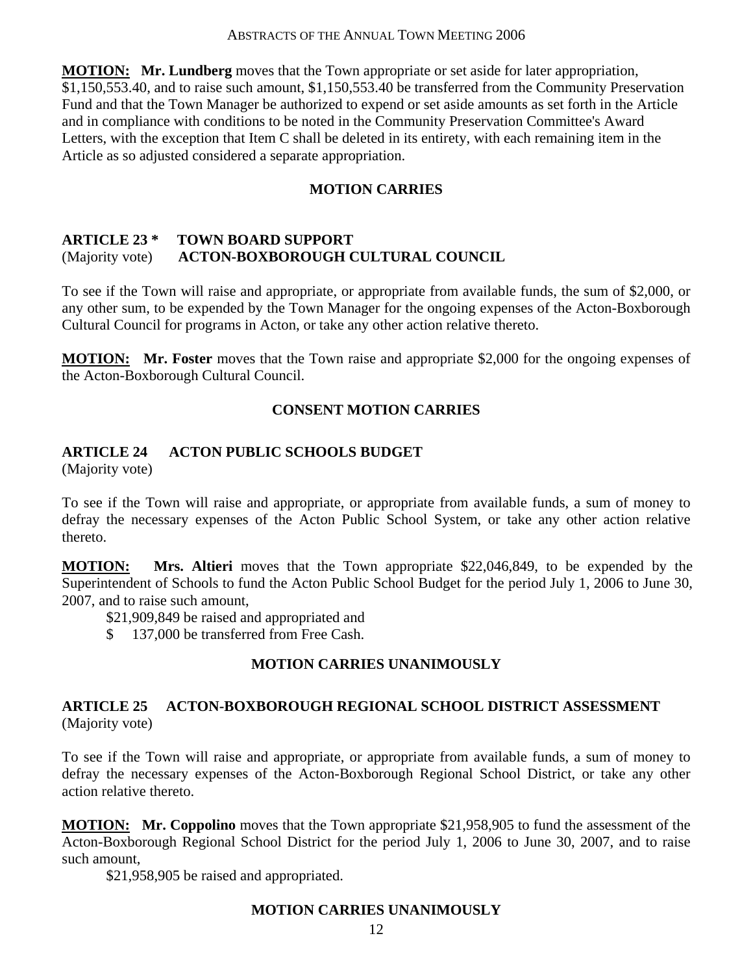**MOTION: Mr. Lundberg** moves that the Town appropriate or set aside for later appropriation, \$1,150,553.40, and to raise such amount, \$1,150,553.40 be transferred from the Community Preservation Fund and that the Town Manager be authorized to expend or set aside amounts as set forth in the Article and in compliance with conditions to be noted in the Community Preservation Committee's Award Letters, with the exception that Item C shall be deleted in its entirety, with each remaining item in the Article as so adjusted considered a separate appropriation.

## **MOTION CARRIES**

## **ARTICLE 23 \* TOWN BOARD SUPPORT**  (Majority vote) **ACTON-BOXBOROUGH CULTURAL COUNCIL**

To see if the Town will raise and appropriate, or appropriate from available funds, the sum of \$2,000, or any other sum, to be expended by the Town Manager for the ongoing expenses of the Acton-Boxborough Cultural Council for programs in Acton, or take any other action relative thereto.

**MOTION: Mr. Foster** moves that the Town raise and appropriate \$2,000 for the ongoing expenses of the Acton-Boxborough Cultural Council.

## **CONSENT MOTION CARRIES**

## **ARTICLE 24 ACTON PUBLIC SCHOOLS BUDGET**

(Majority vote)

To see if the Town will raise and appropriate, or appropriate from available funds, a sum of money to defray the necessary expenses of the Acton Public School System, or take any other action relative thereto.

**MOTION: Mrs. Altieri** moves that the Town appropriate \$22,046,849, to be expended by the Superintendent of Schools to fund the Acton Public School Budget for the period July 1, 2006 to June 30, 2007, and to raise such amount,

\$21,909,849 be raised and appropriated and

\$ 137,000 be transferred from Free Cash.

#### **MOTION CARRIES UNANIMOUSLY**

#### **ARTICLE 25 ACTON-BOXBOROUGH REGIONAL SCHOOL DISTRICT ASSESSMENT**  (Majority vote)

To see if the Town will raise and appropriate, or appropriate from available funds, a sum of money to defray the necessary expenses of the Acton-Boxborough Regional School District, or take any other action relative thereto.

**MOTION: Mr. Coppolino** moves that the Town appropriate \$21,958,905 to fund the assessment of the Acton-Boxborough Regional School District for the period July 1, 2006 to June 30, 2007, and to raise such amount,

\$21,958,905 be raised and appropriated.

#### **MOTION CARRIES UNANIMOUSLY**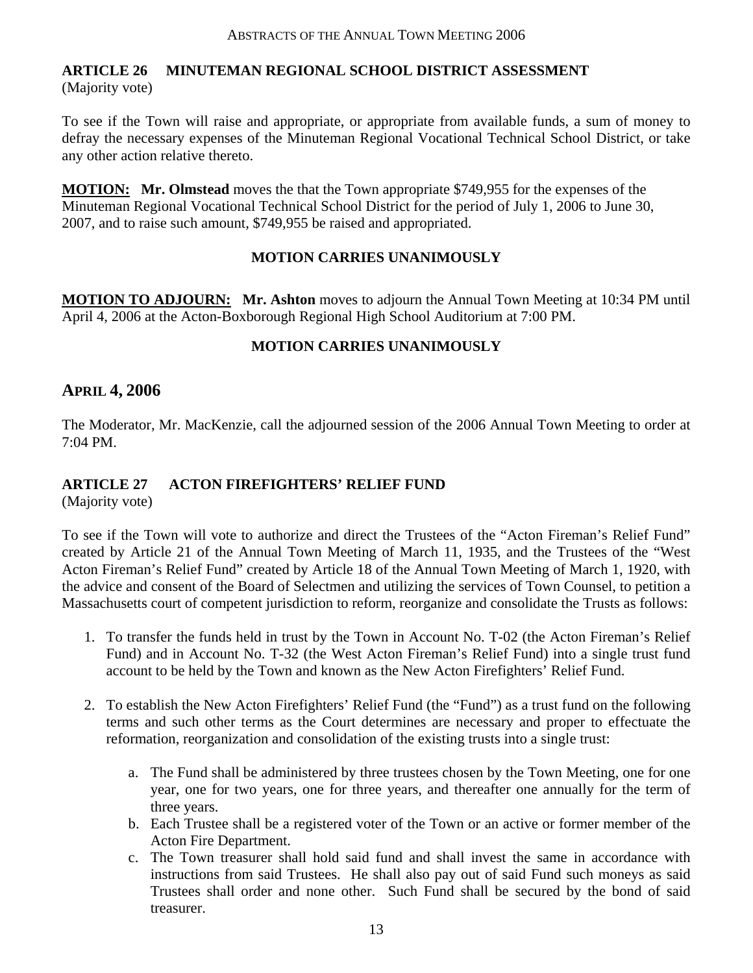#### **ARTICLE 26 MINUTEMAN REGIONAL SCHOOL DISTRICT ASSESSMENT**  (Majority vote)

To see if the Town will raise and appropriate, or appropriate from available funds, a sum of money to defray the necessary expenses of the Minuteman Regional Vocational Technical School District, or take any other action relative thereto.

**MOTION: Mr. Olmstead** moves the that the Town appropriate \$749,955 for the expenses of the Minuteman Regional Vocational Technical School District for the period of July 1, 2006 to June 30, 2007, and to raise such amount, \$749,955 be raised and appropriated.

## **MOTION CARRIES UNANIMOUSLY**

**MOTION TO ADJOURN: Mr. Ashton** moves to adjourn the Annual Town Meeting at 10:34 PM until April 4, 2006 at the Acton-Boxborough Regional High School Auditorium at 7:00 PM.

## **MOTION CARRIES UNANIMOUSLY**

## **APRIL 4, 2006**

The Moderator, Mr. MacKenzie, call the adjourned session of the 2006 Annual Town Meeting to order at 7:04 PM.

## **ARTICLE 27 ACTON FIREFIGHTERS' RELIEF FUND**

(Majority vote)

To see if the Town will vote to authorize and direct the Trustees of the "Acton Fireman's Relief Fund" created by Article 21 of the Annual Town Meeting of March 11, 1935, and the Trustees of the "West Acton Fireman's Relief Fund" created by Article 18 of the Annual Town Meeting of March 1, 1920, with the advice and consent of the Board of Selectmen and utilizing the services of Town Counsel, to petition a Massachusetts court of competent jurisdiction to reform, reorganize and consolidate the Trusts as follows:

- 1. To transfer the funds held in trust by the Town in Account No. T-02 (the Acton Fireman's Relief Fund) and in Account No. T-32 (the West Acton Fireman's Relief Fund) into a single trust fund account to be held by the Town and known as the New Acton Firefighters' Relief Fund.
- 2. To establish the New Acton Firefighters' Relief Fund (the "Fund") as a trust fund on the following terms and such other terms as the Court determines are necessary and proper to effectuate the reformation, reorganization and consolidation of the existing trusts into a single trust:
	- a. The Fund shall be administered by three trustees chosen by the Town Meeting, one for one year, one for two years, one for three years, and thereafter one annually for the term of three years.
	- b. Each Trustee shall be a registered voter of the Town or an active or former member of the Acton Fire Department.
	- c. The Town treasurer shall hold said fund and shall invest the same in accordance with instructions from said Trustees. He shall also pay out of said Fund such moneys as said Trustees shall order and none other. Such Fund shall be secured by the bond of said treasurer.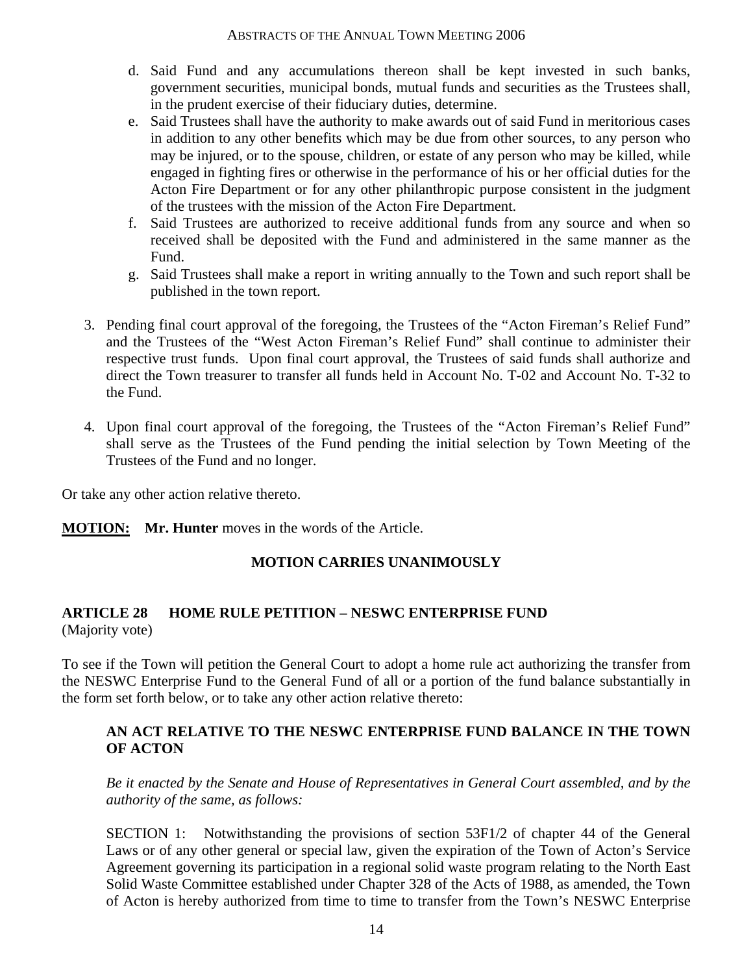- d. Said Fund and any accumulations thereon shall be kept invested in such banks, government securities, municipal bonds, mutual funds and securities as the Trustees shall, in the prudent exercise of their fiduciary duties, determine.
- e. Said Trustees shall have the authority to make awards out of said Fund in meritorious cases in addition to any other benefits which may be due from other sources, to any person who may be injured, or to the spouse, children, or estate of any person who may be killed, while engaged in fighting fires or otherwise in the performance of his or her official duties for the Acton Fire Department or for any other philanthropic purpose consistent in the judgment of the trustees with the mission of the Acton Fire Department.
- f. Said Trustees are authorized to receive additional funds from any source and when so received shall be deposited with the Fund and administered in the same manner as the Fund.
- g. Said Trustees shall make a report in writing annually to the Town and such report shall be published in the town report.
- 3. Pending final court approval of the foregoing, the Trustees of the "Acton Fireman's Relief Fund" and the Trustees of the "West Acton Fireman's Relief Fund" shall continue to administer their respective trust funds. Upon final court approval, the Trustees of said funds shall authorize and direct the Town treasurer to transfer all funds held in Account No. T-02 and Account No. T-32 to the Fund.
- 4. Upon final court approval of the foregoing, the Trustees of the "Acton Fireman's Relief Fund" shall serve as the Trustees of the Fund pending the initial selection by Town Meeting of the Trustees of the Fund and no longer.

Or take any other action relative thereto.

**MOTION: Mr. Hunter** moves in the words of the Article.

#### **MOTION CARRIES UNANIMOUSLY**

#### **ARTICLE 28 HOME RULE PETITION – NESWC ENTERPRISE FUND**  (Majority vote)

To see if the Town will petition the General Court to adopt a home rule act authorizing the transfer from the NESWC Enterprise Fund to the General Fund of all or a portion of the fund balance substantially in the form set forth below, or to take any other action relative thereto:

#### **AN ACT RELATIVE TO THE NESWC ENTERPRISE FUND BALANCE IN THE TOWN OF ACTON**

*Be it enacted by the Senate and House of Representatives in General Court assembled, and by the authority of the same, as follows:* 

SECTION 1: Notwithstanding the provisions of section 53F1/2 of chapter 44 of the General Laws or of any other general or special law, given the expiration of the Town of Acton's Service Agreement governing its participation in a regional solid waste program relating to the North East Solid Waste Committee established under Chapter 328 of the Acts of 1988, as amended, the Town of Acton is hereby authorized from time to time to transfer from the Town's NESWC Enterprise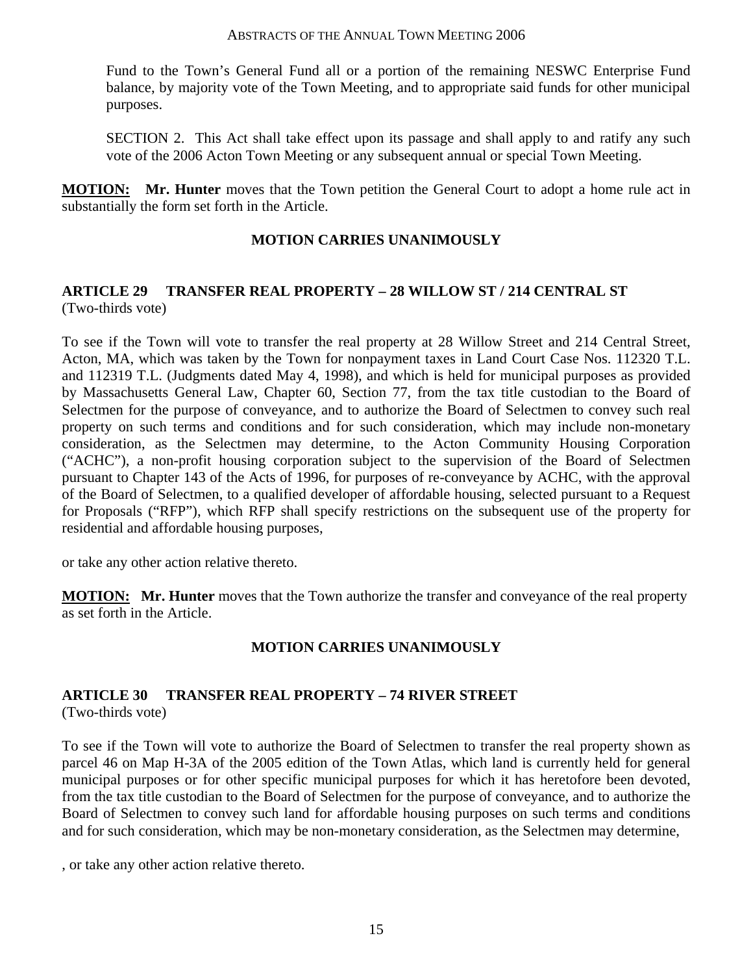Fund to the Town's General Fund all or a portion of the remaining NESWC Enterprise Fund balance, by majority vote of the Town Meeting, and to appropriate said funds for other municipal purposes.

SECTION 2. This Act shall take effect upon its passage and shall apply to and ratify any such vote of the 2006 Acton Town Meeting or any subsequent annual or special Town Meeting.

**MOTION: Mr. Hunter** moves that the Town petition the General Court to adopt a home rule act in substantially the form set forth in the Article.

### **MOTION CARRIES UNANIMOUSLY**

## **ARTICLE 29 TRANSFER REAL PROPERTY – 28 WILLOW ST / 214 CENTRAL ST**  (Two-thirds vote)

To see if the Town will vote to transfer the real property at 28 Willow Street and 214 Central Street, Acton, MA, which was taken by the Town for nonpayment taxes in Land Court Case Nos. 112320 T.L. and 112319 T.L. (Judgments dated May 4, 1998), and which is held for municipal purposes as provided by Massachusetts General Law, Chapter 60, Section 77, from the tax title custodian to the Board of Selectmen for the purpose of conveyance, and to authorize the Board of Selectmen to convey such real property on such terms and conditions and for such consideration, which may include non-monetary consideration, as the Selectmen may determine, to the Acton Community Housing Corporation ("ACHC"), a non-profit housing corporation subject to the supervision of the Board of Selectmen pursuant to Chapter 143 of the Acts of 1996, for purposes of re-conveyance by ACHC, with the approval of the Board of Selectmen, to a qualified developer of affordable housing, selected pursuant to a Request for Proposals ("RFP"), which RFP shall specify restrictions on the subsequent use of the property for residential and affordable housing purposes,

or take any other action relative thereto.

**MOTION: Mr. Hunter** moves that the Town authorize the transfer and conveyance of the real property as set forth in the Article.

#### **MOTION CARRIES UNANIMOUSLY**

# **ARTICLE 30 TRANSFER REAL PROPERTY – 74 RIVER STREET**

(Two-thirds vote)

To see if the Town will vote to authorize the Board of Selectmen to transfer the real property shown as parcel 46 on Map H-3A of the 2005 edition of the Town Atlas, which land is currently held for general municipal purposes or for other specific municipal purposes for which it has heretofore been devoted, from the tax title custodian to the Board of Selectmen for the purpose of conveyance, and to authorize the Board of Selectmen to convey such land for affordable housing purposes on such terms and conditions and for such consideration, which may be non-monetary consideration, as the Selectmen may determine,

, or take any other action relative thereto.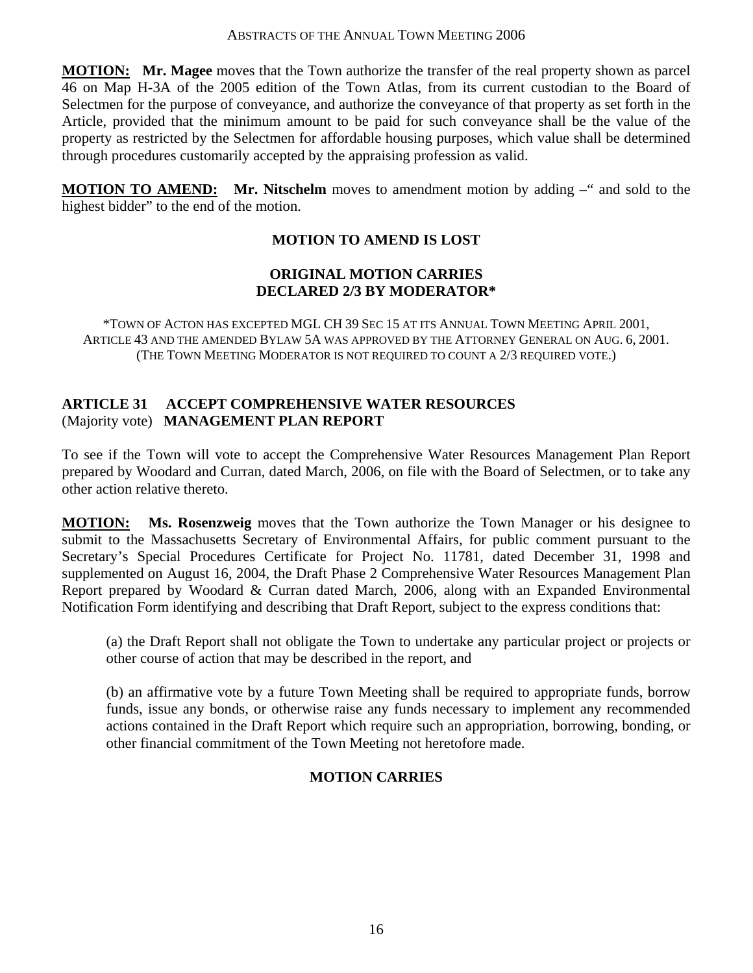**MOTION: Mr. Magee** moves that the Town authorize the transfer of the real property shown as parcel 46 on Map H-3A of the 2005 edition of the Town Atlas, from its current custodian to the Board of Selectmen for the purpose of conveyance, and authorize the conveyance of that property as set forth in the Article, provided that the minimum amount to be paid for such conveyance shall be the value of the property as restricted by the Selectmen for affordable housing purposes, which value shall be determined through procedures customarily accepted by the appraising profession as valid.

**MOTION TO AMEND:** Mr. Nitschelm moves to amendment motion by adding –" and sold to the highest bidder" to the end of the motion.

## **MOTION TO AMEND IS LOST**

#### **ORIGINAL MOTION CARRIES DECLARED 2/3 BY MODERATOR\***

\*TOWN OF ACTON HAS EXCEPTED MGL CH 39 SEC 15 AT ITS ANNUAL TOWN MEETING APRIL 2001, ARTICLE 43 AND THE AMENDED BYLAW 5A WAS APPROVED BY THE ATTORNEY GENERAL ON AUG. 6, 2001. (THE TOWN MEETING MODERATOR IS NOT REQUIRED TO COUNT A 2/3 REQUIRED VOTE.)

#### **ARTICLE 31 ACCEPT COMPREHENSIVE WATER RESOURCES** (Majority vote) **MANAGEMENT PLAN REPORT**

To see if the Town will vote to accept the Comprehensive Water Resources Management Plan Report prepared by Woodard and Curran, dated March, 2006, on file with the Board of Selectmen, or to take any other action relative thereto.

**MOTION: Ms. Rosenzweig** moves that the Town authorize the Town Manager or his designee to submit to the Massachusetts Secretary of Environmental Affairs, for public comment pursuant to the Secretary's Special Procedures Certificate for Project No. 11781, dated December 31, 1998 and supplemented on August 16, 2004, the Draft Phase 2 Comprehensive Water Resources Management Plan Report prepared by Woodard & Curran dated March, 2006, along with an Expanded Environmental Notification Form identifying and describing that Draft Report, subject to the express conditions that:

(a) the Draft Report shall not obligate the Town to undertake any particular project or projects or other course of action that may be described in the report, and

(b) an affirmative vote by a future Town Meeting shall be required to appropriate funds, borrow funds, issue any bonds, or otherwise raise any funds necessary to implement any recommended actions contained in the Draft Report which require such an appropriation, borrowing, bonding, or other financial commitment of the Town Meeting not heretofore made.

## **MOTION CARRIES**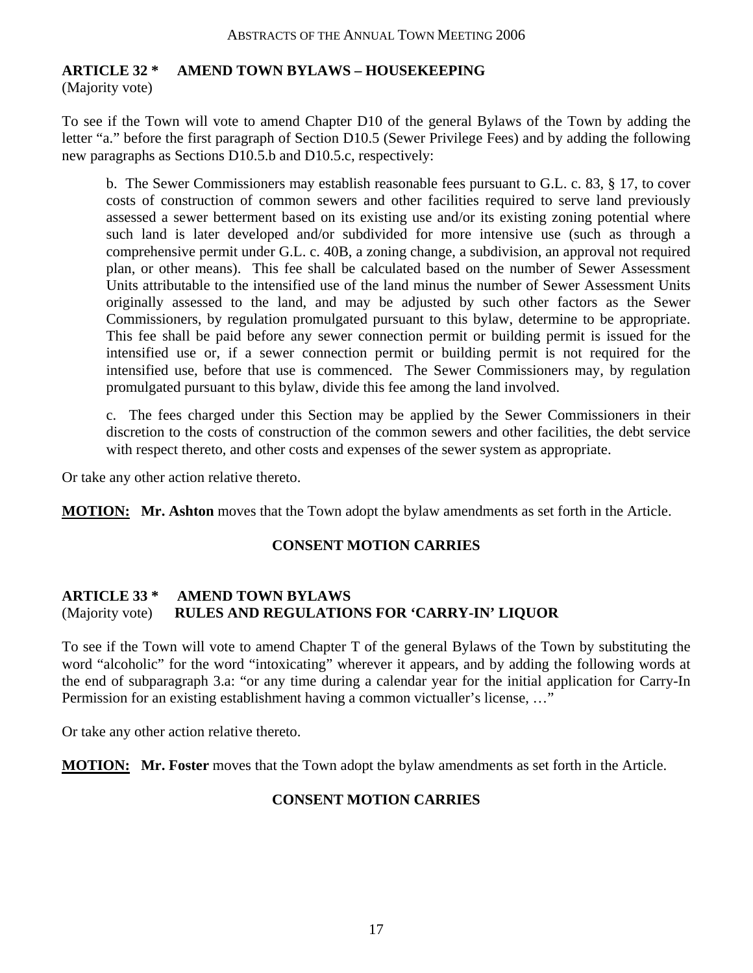## **ARTICLE 32 \* AMEND TOWN BYLAWS – HOUSEKEEPING**

(Majority vote)

To see if the Town will vote to amend Chapter D10 of the general Bylaws of the Town by adding the letter "a." before the first paragraph of Section D10.5 (Sewer Privilege Fees) and by adding the following new paragraphs as Sections D10.5.b and D10.5.c, respectively:

b. The Sewer Commissioners may establish reasonable fees pursuant to G.L. c. 83, § 17, to cover costs of construction of common sewers and other facilities required to serve land previously assessed a sewer betterment based on its existing use and/or its existing zoning potential where such land is later developed and/or subdivided for more intensive use (such as through a comprehensive permit under G.L. c. 40B, a zoning change, a subdivision, an approval not required plan, or other means). This fee shall be calculated based on the number of Sewer Assessment Units attributable to the intensified use of the land minus the number of Sewer Assessment Units originally assessed to the land, and may be adjusted by such other factors as the Sewer Commissioners, by regulation promulgated pursuant to this bylaw, determine to be appropriate. This fee shall be paid before any sewer connection permit or building permit is issued for the intensified use or, if a sewer connection permit or building permit is not required for the intensified use, before that use is commenced. The Sewer Commissioners may, by regulation promulgated pursuant to this bylaw, divide this fee among the land involved.

c. The fees charged under this Section may be applied by the Sewer Commissioners in their discretion to the costs of construction of the common sewers and other facilities, the debt service with respect thereto, and other costs and expenses of the sewer system as appropriate.

Or take any other action relative thereto.

**MOTION: Mr. Ashton** moves that the Town adopt the bylaw amendments as set forth in the Article.

#### **CONSENT MOTION CARRIES**

#### **ARTICLE 33 \* AMEND TOWN BYLAWS**  (Majority vote) **RULES AND REGULATIONS FOR 'CARRY-IN' LIQUOR**

To see if the Town will vote to amend Chapter T of the general Bylaws of the Town by substituting the word "alcoholic" for the word "intoxicating" wherever it appears, and by adding the following words at the end of subparagraph 3.a: "or any time during a calendar year for the initial application for Carry-In Permission for an existing establishment having a common victualler's license, …"

Or take any other action relative thereto.

**MOTION: Mr. Foster** moves that the Town adopt the bylaw amendments as set forth in the Article.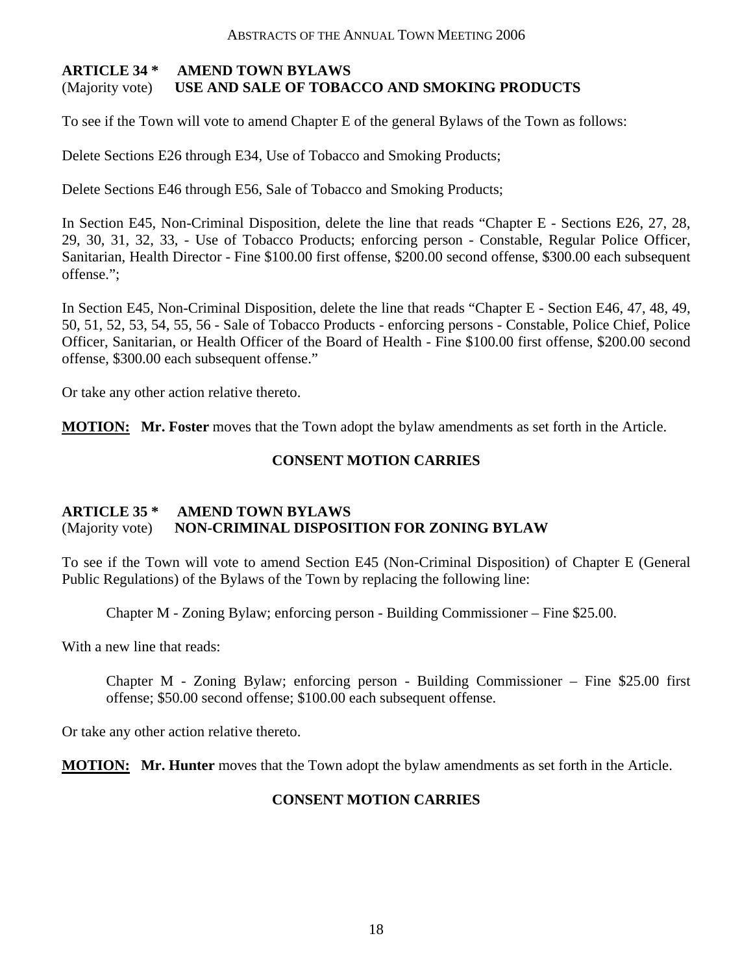#### **ARTICLE 34 \* AMEND TOWN BYLAWS**  (Majority vote) **USE AND SALE OF TOBACCO AND SMOKING PRODUCTS**

To see if the Town will vote to amend Chapter E of the general Bylaws of the Town as follows:

Delete Sections E26 through E34, Use of Tobacco and Smoking Products;

Delete Sections E46 through E56, Sale of Tobacco and Smoking Products;

In Section E45, Non-Criminal Disposition, delete the line that reads "Chapter E - Sections E26, 27, 28, 29, 30, 31, 32, 33, - Use of Tobacco Products; enforcing person - Constable, Regular Police Officer, Sanitarian, Health Director - Fine \$100.00 first offense, \$200.00 second offense, \$300.00 each subsequent offense.";

In Section E45, Non-Criminal Disposition, delete the line that reads "Chapter E - Section E46, 47, 48, 49, 50, 51, 52, 53, 54, 55, 56 - Sale of Tobacco Products - enforcing persons - Constable, Police Chief, Police Officer, Sanitarian, or Health Officer of the Board of Health - Fine \$100.00 first offense, \$200.00 second offense, \$300.00 each subsequent offense."

Or take any other action relative thereto.

**MOTION: Mr. Foster** moves that the Town adopt the bylaw amendments as set forth in the Article.

#### **CONSENT MOTION CARRIES**

#### **ARTICLE 35 \* AMEND TOWN BYLAWS**  (Majority vote) **NON-CRIMINAL DISPOSITION FOR ZONING BYLAW**

To see if the Town will vote to amend Section E45 (Non-Criminal Disposition) of Chapter E (General Public Regulations) of the Bylaws of the Town by replacing the following line:

Chapter M - Zoning Bylaw; enforcing person - Building Commissioner – Fine \$25.00.

With a new line that reads:

Chapter M - Zoning Bylaw; enforcing person - Building Commissioner – Fine \$25.00 first offense; \$50.00 second offense; \$100.00 each subsequent offense.

Or take any other action relative thereto.

**MOTION: Mr. Hunter** moves that the Town adopt the bylaw amendments as set forth in the Article.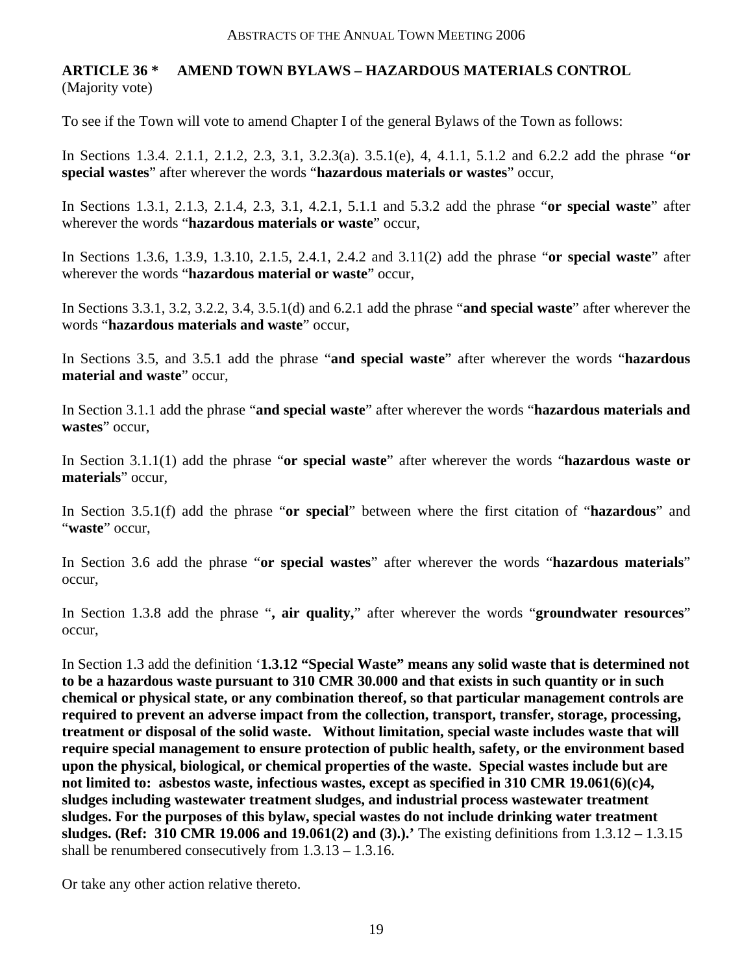## **ARTICLE 36 \* AMEND TOWN BYLAWS – HAZARDOUS MATERIALS CONTROL**  (Majority vote)

To see if the Town will vote to amend Chapter I of the general Bylaws of the Town as follows:

In Sections 1.3.4. 2.1.1, 2.1.2, 2.3, 3.1, 3.2.3(a). 3.5.1(e), 4, 4.1.1, 5.1.2 and 6.2.2 add the phrase "**or special wastes**" after wherever the words "**hazardous materials or wastes**" occur,

In Sections 1.3.1, 2.1.3, 2.1.4, 2.3, 3.1, 4.2.1, 5.1.1 and 5.3.2 add the phrase "**or special waste**" after wherever the words "**hazardous materials or waste**" occur,

In Sections 1.3.6, 1.3.9, 1.3.10, 2.1.5, 2.4.1, 2.4.2 and 3.11(2) add the phrase "**or special waste**" after wherever the words "**hazardous material or waste**" occur,

In Sections 3.3.1, 3.2, 3.2.2, 3.4, 3.5.1(d) and 6.2.1 add the phrase "**and special waste**" after wherever the words "**hazardous materials and waste**" occur,

In Sections 3.5, and 3.5.1 add the phrase "**and special waste**" after wherever the words "**hazardous material and waste**" occur,

In Section 3.1.1 add the phrase "**and special waste**" after wherever the words "**hazardous materials and wastes**" occur,

In Section 3.1.1(1) add the phrase "**or special waste**" after wherever the words "**hazardous waste or materials**" occur,

In Section 3.5.1(f) add the phrase "**or special**" between where the first citation of "**hazardous**" and "**waste**" occur,

In Section 3.6 add the phrase "**or special wastes**" after wherever the words "**hazardous materials**" occur,

In Section 1.3.8 add the phrase "**, air quality,**" after wherever the words "**groundwater resources**" occur,

In Section 1.3 add the definition '**1.3.12 "Special Waste" means any solid waste that is determined not to be a hazardous waste pursuant to 310 CMR 30.000 and that exists in such quantity or in such chemical or physical state, or any combination thereof, so that particular management controls are required to prevent an adverse impact from the collection, transport, transfer, storage, processing, treatment or disposal of the solid waste. Without limitation, special waste includes waste that will require special management to ensure protection of public health, safety, or the environment based upon the physical, biological, or chemical properties of the waste. Special wastes include but are not limited to: asbestos waste, infectious wastes, except as specified in 310 CMR 19.061(6)(c)4, sludges including wastewater treatment sludges, and industrial process wastewater treatment sludges. For the purposes of this bylaw, special wastes do not include drinking water treatment sludges. (Ref: 310 CMR 19.006 and 19.061(2) and (3).).'** The existing definitions from 1.3.12 – 1.3.15 shall be renumbered consecutively from 1.3.13 – 1.3.16.

Or take any other action relative thereto.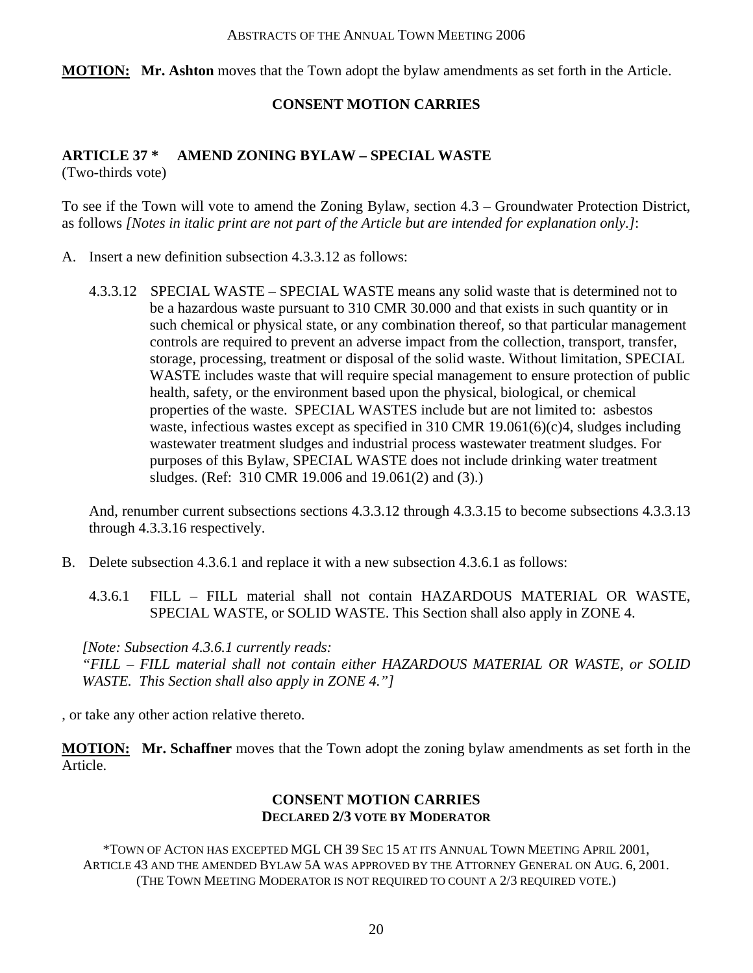**MOTION: Mr. Ashton** moves that the Town adopt the bylaw amendments as set forth in the Article.

#### **CONSENT MOTION CARRIES**

#### **ARTICLE 37 \* AMEND ZONING BYLAW – SPECIAL WASTE**  (Two-thirds vote)

To see if the Town will vote to amend the Zoning Bylaw, section 4.3 – Groundwater Protection District, as follows *[Notes in italic print are not part of the Article but are intended for explanation only.]*:

- A. Insert a new definition subsection 4.3.3.12 as follows:
	- 4.3.3.12 SPECIAL WASTE SPECIAL WASTE means any solid waste that is determined not to be a hazardous waste pursuant to 310 CMR 30.000 and that exists in such quantity or in such chemical or physical state, or any combination thereof, so that particular management controls are required to prevent an adverse impact from the collection, transport, transfer, storage, processing, treatment or disposal of the solid waste. Without limitation, SPECIAL WASTE includes waste that will require special management to ensure protection of public health, safety, or the environment based upon the physical, biological, or chemical properties of the waste. SPECIAL WASTES include but are not limited to: asbestos waste, infectious wastes except as specified in 310 CMR 19.061(6)(c)4, sludges including wastewater treatment sludges and industrial process wastewater treatment sludges. For purposes of this Bylaw, SPECIAL WASTE does not include drinking water treatment sludges. (Ref: 310 CMR 19.006 and 19.061(2) and (3).)

And, renumber current subsections sections 4.3.3.12 through 4.3.3.15 to become subsections 4.3.3.13 through 4.3.3.16 respectively.

- B. Delete subsection 4.3.6.1 and replace it with a new subsection 4.3.6.1 as follows:
	- 4.3.6.1 FILL FILL material shall not contain HAZARDOUS MATERIAL OR WASTE, SPECIAL WASTE, or SOLID WASTE. This Section shall also apply in ZONE 4.

*[Note: Subsection 4.3.6.1 currently reads: "FILL – FILL material shall not contain either HAZARDOUS MATERIAL OR WASTE, or SOLID WASTE. This Section shall also apply in ZONE 4."]* 

, or take any other action relative thereto.

**MOTION: Mr. Schaffner** moves that the Town adopt the zoning bylaw amendments as set forth in the Article.

#### **CONSENT MOTION CARRIES DECLARED 2/3 VOTE BY MODERATOR**

\*TOWN OF ACTON HAS EXCEPTED MGL CH 39 SEC 15 AT ITS ANNUAL TOWN MEETING APRIL 2001, ARTICLE 43 AND THE AMENDED BYLAW 5A WAS APPROVED BY THE ATTORNEY GENERAL ON AUG. 6, 2001. (THE TOWN MEETING MODERATOR IS NOT REQUIRED TO COUNT A 2/3 REQUIRED VOTE.)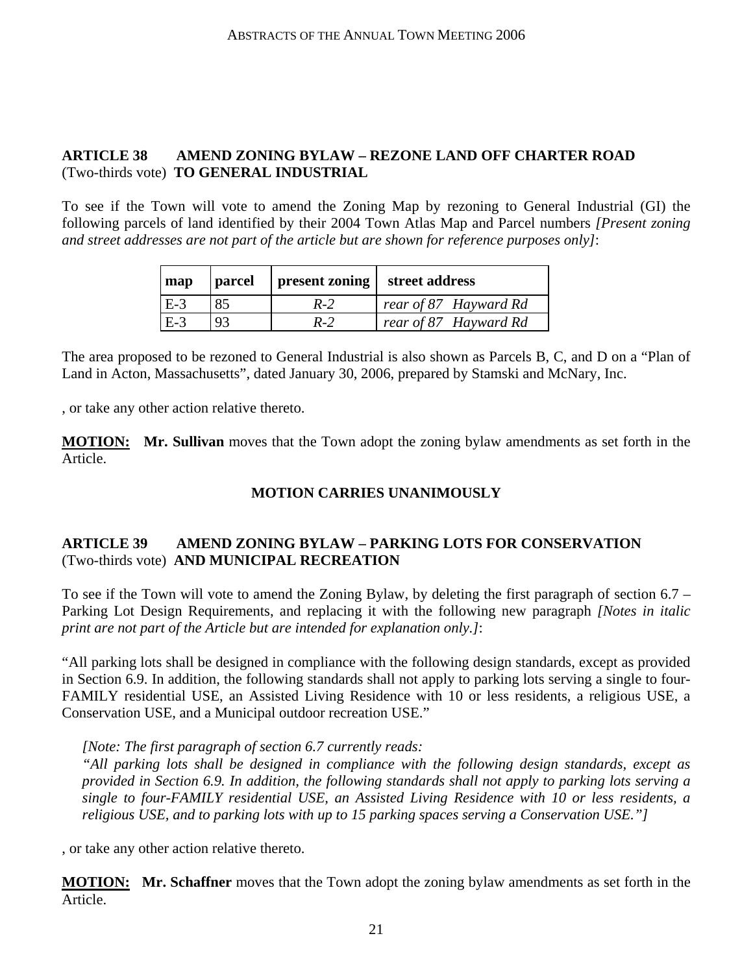## **ARTICLE 38 AMEND ZONING BYLAW – REZONE LAND OFF CHARTER ROAD**  (Two-thirds vote) **TO GENERAL INDUSTRIAL**

To see if the Town will vote to amend the Zoning Map by rezoning to General Industrial (GI) the following parcels of land identified by their 2004 Town Atlas Map and Parcel numbers *[Present zoning and street addresses are not part of the article but are shown for reference purposes only]*:

| map   | parcel | present zoning | street address                |
|-------|--------|----------------|-------------------------------|
| $E-3$ |        | $R-2$          | $\vert$ rear of 87 Hayward Rd |
| l E-3 | 93     | $R-2$          | rear of 87 Hayward Rd         |

The area proposed to be rezoned to General Industrial is also shown as Parcels B, C, and D on a "Plan of Land in Acton, Massachusetts", dated January 30, 2006, prepared by Stamski and McNary, Inc.

, or take any other action relative thereto.

**MOTION: Mr. Sullivan** moves that the Town adopt the zoning bylaw amendments as set forth in the Article.

### **MOTION CARRIES UNANIMOUSLY**

#### **ARTICLE 39 AMEND ZONING BYLAW – PARKING LOTS FOR CONSERVATION**  (Two-thirds vote) **AND MUNICIPAL RECREATION**

To see if the Town will vote to amend the Zoning Bylaw, by deleting the first paragraph of section 6.7 – Parking Lot Design Requirements, and replacing it with the following new paragraph *[Notes in italic print are not part of the Article but are intended for explanation only.]*:

"All parking lots shall be designed in compliance with the following design standards, except as provided in Section 6.9. In addition, the following standards shall not apply to parking lots serving a single to four-FAMILY residential USE, an Assisted Living Residence with 10 or less residents, a religious USE, a Conservation USE, and a Municipal outdoor recreation USE."

#### *[Note: The first paragraph of section 6.7 currently reads:*

*"All parking lots shall be designed in compliance with the following design standards, except as provided in Section 6.9. In addition, the following standards shall not apply to parking lots serving a single to four-FAMILY residential USE, an Assisted Living Residence with 10 or less residents, a religious USE, and to parking lots with up to 15 parking spaces serving a Conservation USE."]* 

, or take any other action relative thereto.

**MOTION: Mr. Schaffner** moves that the Town adopt the zoning bylaw amendments as set forth in the Article.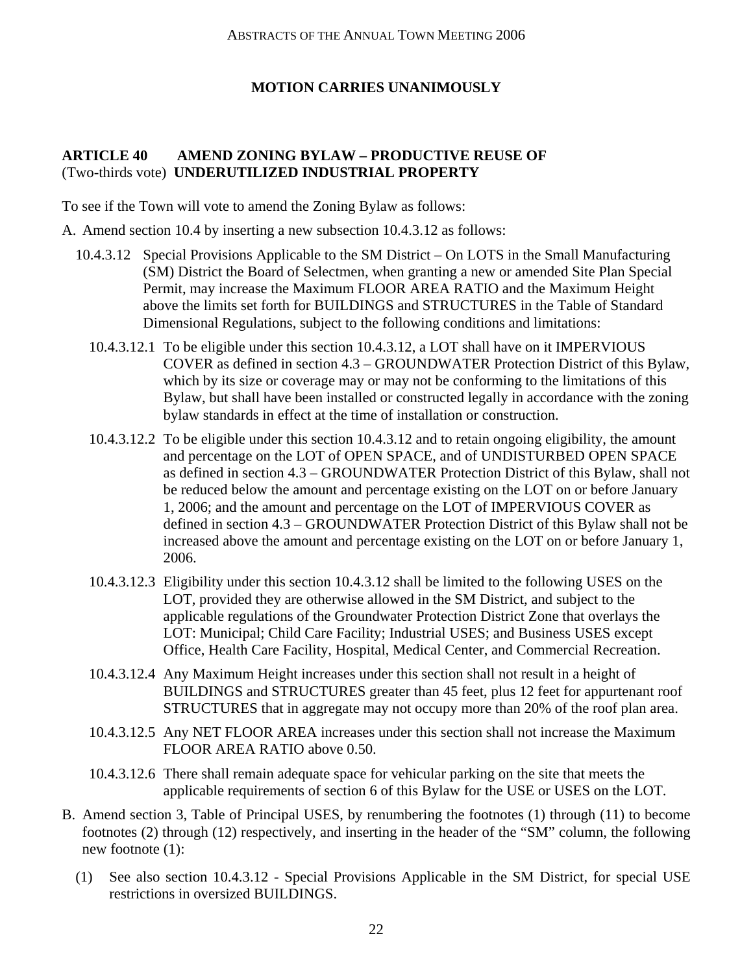## **MOTION CARRIES UNANIMOUSLY**

#### **ARTICLE 40 AMEND ZONING BYLAW – PRODUCTIVE REUSE OF**  (Two-thirds vote) **UNDERUTILIZED INDUSTRIAL PROPERTY**

To see if the Town will vote to amend the Zoning Bylaw as follows:

- A. Amend section 10.4 by inserting a new subsection 10.4.3.12 as follows:
	- 10.4.3.12 Special Provisions Applicable to the SM District On LOTS in the Small Manufacturing (SM) District the Board of Selectmen, when granting a new or amended Site Plan Special Permit, may increase the Maximum FLOOR AREA RATIO and the Maximum Height above the limits set forth for BUILDINGS and STRUCTURES in the Table of Standard Dimensional Regulations, subject to the following conditions and limitations:
		- 10.4.3.12.1 To be eligible under this section 10.4.3.12, a LOT shall have on it IMPERVIOUS COVER as defined in section 4.3 – GROUNDWATER Protection District of this Bylaw, which by its size or coverage may or may not be conforming to the limitations of this Bylaw, but shall have been installed or constructed legally in accordance with the zoning bylaw standards in effect at the time of installation or construction.
		- 10.4.3.12.2 To be eligible under this section 10.4.3.12 and to retain ongoing eligibility, the amount and percentage on the LOT of OPEN SPACE, and of UNDISTURBED OPEN SPACE as defined in section 4.3 – GROUNDWATER Protection District of this Bylaw, shall not be reduced below the amount and percentage existing on the LOT on or before January 1, 2006; and the amount and percentage on the LOT of IMPERVIOUS COVER as defined in section 4.3 – GROUNDWATER Protection District of this Bylaw shall not be increased above the amount and percentage existing on the LOT on or before January 1, 2006.
		- 10.4.3.12.3 Eligibility under this section 10.4.3.12 shall be limited to the following USES on the LOT, provided they are otherwise allowed in the SM District, and subject to the applicable regulations of the Groundwater Protection District Zone that overlays the LOT: Municipal; Child Care Facility; Industrial USES; and Business USES except Office, Health Care Facility, Hospital, Medical Center, and Commercial Recreation.
		- 10.4.3.12.4 Any Maximum Height increases under this section shall not result in a height of BUILDINGS and STRUCTURES greater than 45 feet, plus 12 feet for appurtenant roof STRUCTURES that in aggregate may not occupy more than 20% of the roof plan area.
		- 10.4.3.12.5 Any NET FLOOR AREA increases under this section shall not increase the Maximum FLOOR AREA RATIO above 0.50.
		- 10.4.3.12.6 There shall remain adequate space for vehicular parking on the site that meets the applicable requirements of section 6 of this Bylaw for the USE or USES on the LOT.
- B. Amend section 3, Table of Principal USES, by renumbering the footnotes (1) through (11) to become footnotes (2) through (12) respectively, and inserting in the header of the "SM" column, the following new footnote (1):
	- (1) See also section 10.4.3.12 Special Provisions Applicable in the SM District, for special USE restrictions in oversized BUILDINGS.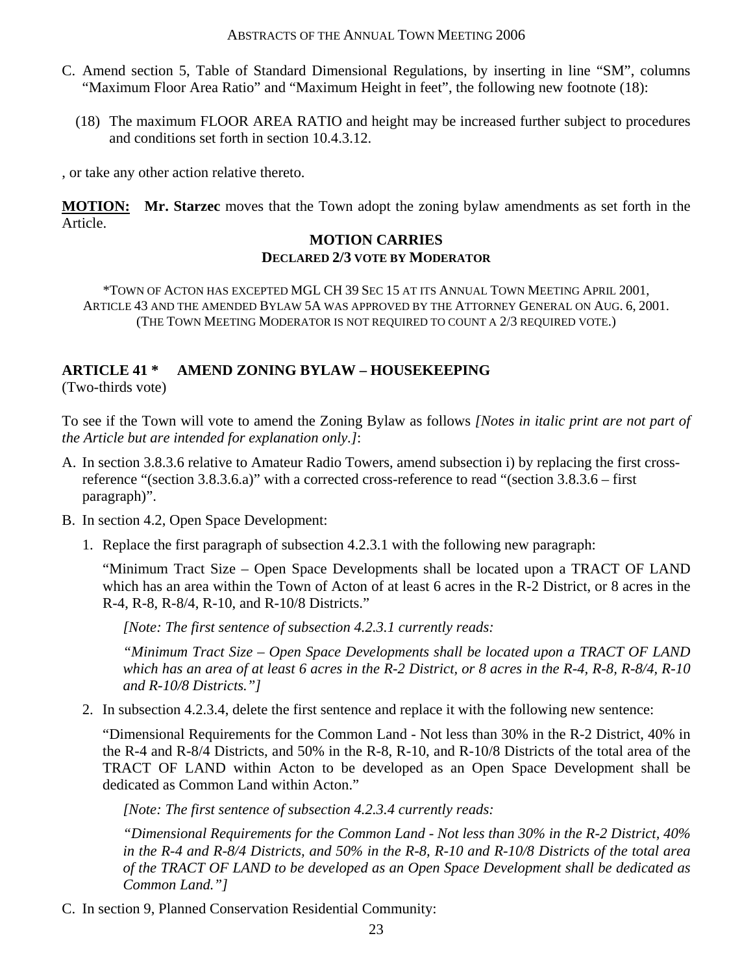- C. Amend section 5, Table of Standard Dimensional Regulations, by inserting in line "SM", columns "Maximum Floor Area Ratio" and "Maximum Height in feet", the following new footnote (18):
	- (18) The maximum FLOOR AREA RATIO and height may be increased further subject to procedures and conditions set forth in section 10.4.3.12.

, or take any other action relative thereto.

**MOTION: Mr. Starzec** moves that the Town adopt the zoning bylaw amendments as set forth in the Article.

#### **MOTION CARRIES DECLARED 2/3 VOTE BY MODERATOR**

\*TOWN OF ACTON HAS EXCEPTED MGL CH 39 SEC 15 AT ITS ANNUAL TOWN MEETING APRIL 2001, ARTICLE 43 AND THE AMENDED BYLAW 5A WAS APPROVED BY THE ATTORNEY GENERAL ON AUG. 6, 2001. (THE TOWN MEETING MODERATOR IS NOT REQUIRED TO COUNT A 2/3 REQUIRED VOTE.)

## **ARTICLE 41 \* AMEND ZONING BYLAW – HOUSEKEEPING**

(Two-thirds vote)

To see if the Town will vote to amend the Zoning Bylaw as follows *[Notes in italic print are not part of the Article but are intended for explanation only.]*:

- A. In section 3.8.3.6 relative to Amateur Radio Towers, amend subsection i) by replacing the first crossreference "(section 3.8.3.6.a)" with a corrected cross-reference to read "(section 3.8.3.6 – first paragraph)".
- B. In section 4.2, Open Space Development:
	- 1. Replace the first paragraph of subsection 4.2.3.1 with the following new paragraph:

"Minimum Tract Size – Open Space Developments shall be located upon a TRACT OF LAND which has an area within the Town of Acton of at least 6 acres in the R-2 District, or 8 acres in the R-4, R-8, R-8/4, R-10, and R-10/8 Districts."

*[Note: The first sentence of subsection 4.2.3.1 currently reads:* 

*"Minimum Tract Size – Open Space Developments shall be located upon a TRACT OF LAND which has an area of at least 6 acres in the R-2 District, or 8 acres in the R-4, R-8, R-8/4, R-10 and R-10/8 Districts."]*

2. In subsection 4.2.3.4, delete the first sentence and replace it with the following new sentence:

"Dimensional Requirements for the Common Land - Not less than 30% in the R-2 District, 40% in the R-4 and R-8/4 Districts, and 50% in the R-8, R-10, and R-10/8 Districts of the total area of the TRACT OF LAND within Acton to be developed as an Open Space Development shall be dedicated as Common Land within Acton."

*[Note: The first sentence of subsection 4.2.3.4 currently reads:* 

*"Dimensional Requirements for the Common Land - Not less than 30% in the R-2 District, 40% in the R-4 and R-8/4 Districts, and 50% in the R-8, R-10 and R-10/8 Districts of the total area of the TRACT OF LAND to be developed as an Open Space Development shall be dedicated as Common Land."]*

C. In section 9, Planned Conservation Residential Community: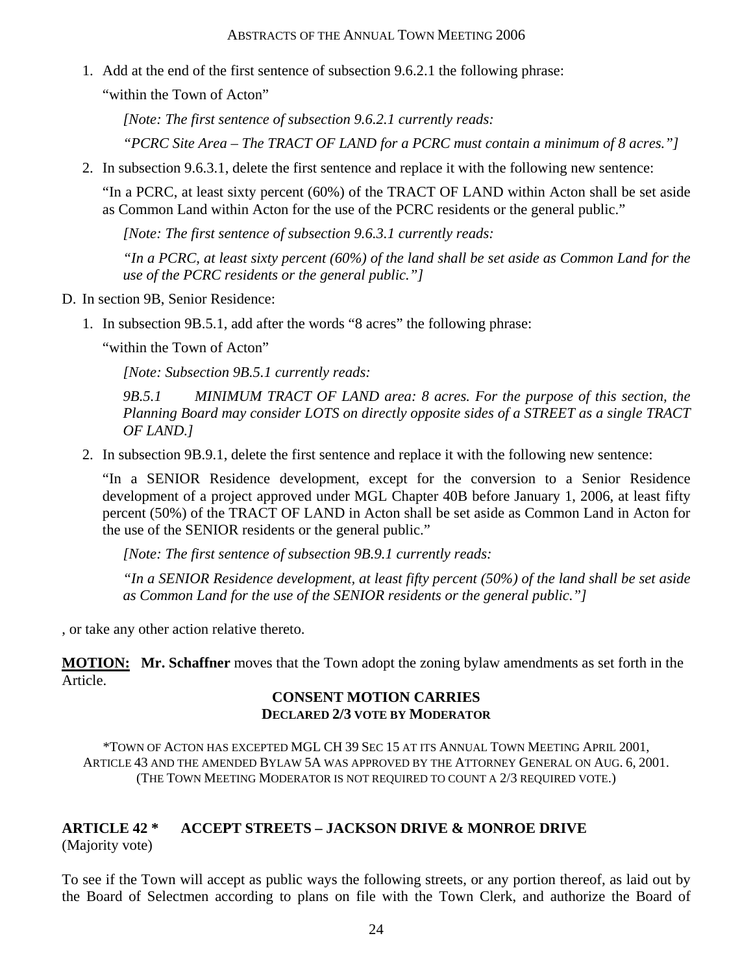1. Add at the end of the first sentence of subsection 9.6.2.1 the following phrase:

"within the Town of Acton"

*[Note: The first sentence of subsection 9.6.2.1 currently reads:* 

*"PCRC Site Area – The TRACT OF LAND for a PCRC must contain a minimum of 8 acres."]*

2. In subsection 9.6.3.1, delete the first sentence and replace it with the following new sentence:

"In a PCRC, at least sixty percent (60%) of the TRACT OF LAND within Acton shall be set aside as Common Land within Acton for the use of the PCRC residents or the general public."

*[Note: The first sentence of subsection 9.6.3.1 currently reads:* 

*"In a PCRC, at least sixty percent (60%) of the land shall be set aside as Common Land for the use of the PCRC residents or the general public."]*

- D. In section 9B, Senior Residence:
	- 1. In subsection 9B.5.1, add after the words "8 acres" the following phrase:

"within the Town of Acton"

*[Note: Subsection 9B.5.1 currently reads:* 

*9B.5.1 MINIMUM TRACT OF LAND area: 8 acres. For the purpose of this section, the Planning Board may consider LOTS on directly opposite sides of a STREET as a single TRACT OF LAND.]*

2. In subsection 9B.9.1, delete the first sentence and replace it with the following new sentence:

"In a SENIOR Residence development, except for the conversion to a Senior Residence development of a project approved under MGL Chapter 40B before January 1, 2006, at least fifty percent (50%) of the TRACT OF LAND in Acton shall be set aside as Common Land in Acton for the use of the SENIOR residents or the general public."

*[Note: The first sentence of subsection 9B.9.1 currently reads:* 

*"In a SENIOR Residence development, at least fifty percent (50%) of the land shall be set aside as Common Land for the use of the SENIOR residents or the general public."]*

, or take any other action relative thereto.

**MOTION: Mr. Schaffner** moves that the Town adopt the zoning bylaw amendments as set forth in the Article.

#### **CONSENT MOTION CARRIES DECLARED 2/3 VOTE BY MODERATOR**

\*TOWN OF ACTON HAS EXCEPTED MGL CH 39 SEC 15 AT ITS ANNUAL TOWN MEETING APRIL 2001, ARTICLE 43 AND THE AMENDED BYLAW 5A WAS APPROVED BY THE ATTORNEY GENERAL ON AUG. 6, 2001. (THE TOWN MEETING MODERATOR IS NOT REQUIRED TO COUNT A 2/3 REQUIRED VOTE.)

# **ARTICLE 42 \* ACCEPT STREETS – JACKSON DRIVE & MONROE DRIVE**

(Majority vote)

To see if the Town will accept as public ways the following streets, or any portion thereof, as laid out by the Board of Selectmen according to plans on file with the Town Clerk, and authorize the Board of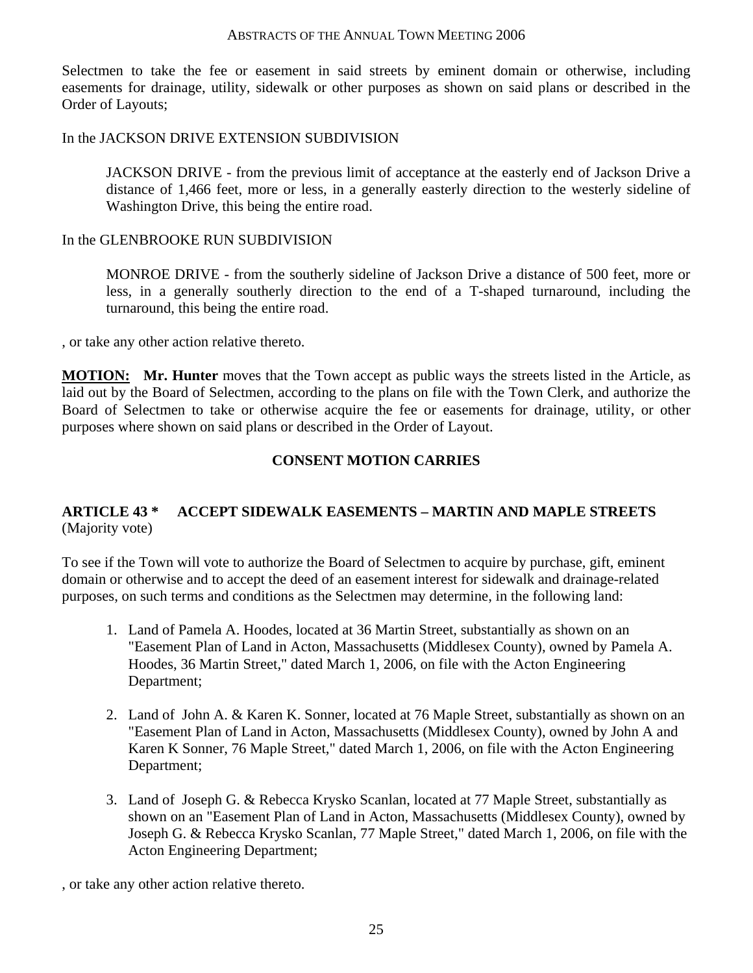Selectmen to take the fee or easement in said streets by eminent domain or otherwise, including easements for drainage, utility, sidewalk or other purposes as shown on said plans or described in the Order of Layouts;

#### In the JACKSON DRIVE EXTENSION SUBDIVISION

JACKSON DRIVE - from the previous limit of acceptance at the easterly end of Jackson Drive a distance of 1,466 feet, more or less, in a generally easterly direction to the westerly sideline of Washington Drive, this being the entire road.

#### In the GLENBROOKE RUN SUBDIVISION

MONROE DRIVE - from the southerly sideline of Jackson Drive a distance of 500 feet, more or less, in a generally southerly direction to the end of a T-shaped turnaround, including the turnaround, this being the entire road.

, or take any other action relative thereto.

**MOTION: Mr. Hunter** moves that the Town accept as public ways the streets listed in the Article, as laid out by the Board of Selectmen, according to the plans on file with the Town Clerk, and authorize the Board of Selectmen to take or otherwise acquire the fee or easements for drainage, utility, or other purposes where shown on said plans or described in the Order of Layout.

#### **CONSENT MOTION CARRIES**

## **ARTICLE 43 \* ACCEPT SIDEWALK EASEMENTS – MARTIN AND MAPLE STREETS**  (Majority vote)

To see if the Town will vote to authorize the Board of Selectmen to acquire by purchase, gift, eminent domain or otherwise and to accept the deed of an easement interest for sidewalk and drainage-related purposes, on such terms and conditions as the Selectmen may determine, in the following land:

- 1. Land of Pamela A. Hoodes, located at 36 Martin Street, substantially as shown on an "Easement Plan of Land in Acton, Massachusetts (Middlesex County), owned by Pamela A. Hoodes, 36 Martin Street," dated March 1, 2006, on file with the Acton Engineering Department;
- 2. Land of John A. & Karen K. Sonner, located at 76 Maple Street, substantially as shown on an "Easement Plan of Land in Acton, Massachusetts (Middlesex County), owned by John A and Karen K Sonner, 76 Maple Street," dated March 1, 2006, on file with the Acton Engineering Department;
- 3. Land of Joseph G. & Rebecca Krysko Scanlan, located at 77 Maple Street, substantially as shown on an "Easement Plan of Land in Acton, Massachusetts (Middlesex County), owned by Joseph G. & Rebecca Krysko Scanlan, 77 Maple Street," dated March 1, 2006, on file with the Acton Engineering Department;

, or take any other action relative thereto.